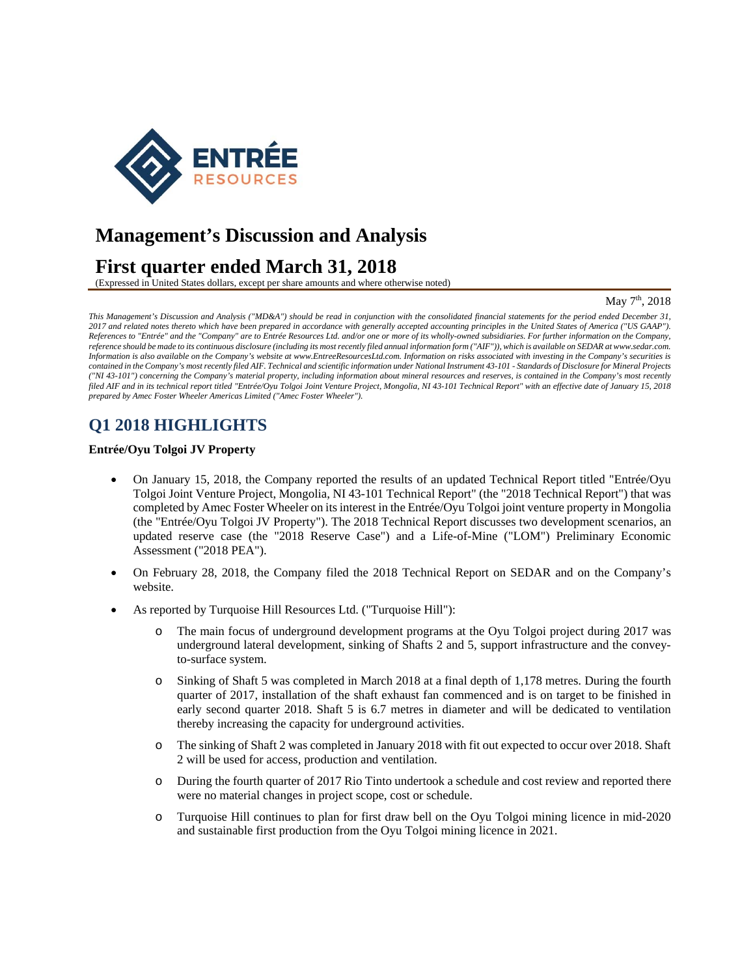

# **Management's Discussion and Analysis**

# **First quarter ended March 31, 2018**

(Expressed in United States dollars, except per share amounts and where otherwise noted)

### May 7<sup>th</sup>, 2018

*This Management's Discussion and Analysis ("MD&A") should be read in conjunction with the consolidated financial statements for the period ended December 31, 2017 and related notes thereto which have been prepared in accordance with generally accepted accounting principles in the United States of America ("US GAAP"). References to "Entrée" and the "Company" are to Entrée Resources Ltd. and/or one or more of its wholly-owned subsidiaries. For further information on the Company, reference should be made to its continuous disclosure (including its most recently filed annual information form ("AIF")), which is available on SEDAR at www.sedar.com. Information is also available on the Company's website at www.EntreeResourcesLtd.com. Information on risks associated with investing in the Company's securities is contained in the Company's most recently filed AIF. Technical and scientific information under National Instrument 43-101 - Standards of Disclosure for Mineral Projects ("NI 43-101") concerning the Company's material property, including information about mineral resources and reserves, is contained in the Company's most recently filed AIF and in its technical report titled "Entrée/Oyu Tolgoi Joint Venture Project, Mongolia, NI 43-101 Technical Report" with an effective date of January 15, 2018 prepared by Amec Foster Wheeler Americas Limited ("Amec Foster Wheeler").* 

# **Q1 2018 HIGHLIGHTS**

#### **Entrée/Oyu Tolgoi JV Property**

- On January 15, 2018, the Company reported the results of an updated Technical Report titled "Entrée/Oyu Tolgoi Joint Venture Project, Mongolia, NI 43-101 Technical Report" (the "2018 Technical Report") that was completed by Amec Foster Wheeler on its interest in the Entrée/Oyu Tolgoi joint venture property in Mongolia (the "Entrée/Oyu Tolgoi JV Property"). The 2018 Technical Report discusses two development scenarios, an updated reserve case (the "2018 Reserve Case") and a Life-of-Mine ("LOM") Preliminary Economic Assessment ("2018 PEA").
- On February 28, 2018, the Company filed the 2018 Technical Report on SEDAR and on the Company's website.
- As reported by Turquoise Hill Resources Ltd. ("Turquoise Hill"):
	- o The main focus of underground development programs at the Oyu Tolgoi project during 2017 was underground lateral development, sinking of Shafts 2 and 5, support infrastructure and the conveyto-surface system.
	- o Sinking of Shaft 5 was completed in March 2018 at a final depth of 1,178 metres. During the fourth quarter of 2017, installation of the shaft exhaust fan commenced and is on target to be finished in early second quarter 2018. Shaft 5 is 6.7 metres in diameter and will be dedicated to ventilation thereby increasing the capacity for underground activities.
	- o The sinking of Shaft 2 was completed in January 2018 with fit out expected to occur over 2018. Shaft 2 will be used for access, production and ventilation.
	- o During the fourth quarter of 2017 Rio Tinto undertook a schedule and cost review and reported there were no material changes in project scope, cost or schedule.
	- o Turquoise Hill continues to plan for first draw bell on the Oyu Tolgoi mining licence in mid-2020 and sustainable first production from the Oyu Tolgoi mining licence in 2021.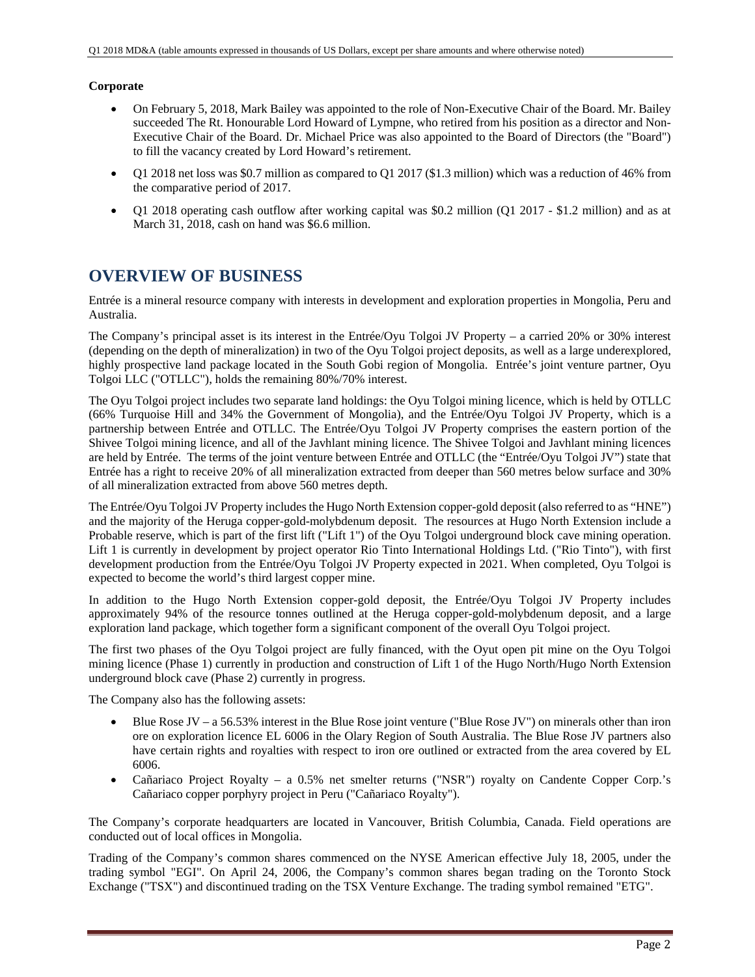## **Corporate**

- On February 5, 2018, Mark Bailey was appointed to the role of Non-Executive Chair of the Board. Mr. Bailey succeeded The Rt. Honourable Lord Howard of Lympne, who retired from his position as a director and Non-Executive Chair of the Board. Dr. Michael Price was also appointed to the Board of Directors (the "Board") to fill the vacancy created by Lord Howard's retirement.
- Q1 2018 net loss was \$0.7 million as compared to Q1 2017 (\$1.3 million) which was a reduction of 46% from the comparative period of 2017.
- Q1 2018 operating cash outflow after working capital was \$0.2 million (Q1 2017 \$1.2 million) and as at March 31, 2018, cash on hand was \$6.6 million.

## **OVERVIEW OF BUSINESS**

Entrée is a mineral resource company with interests in development and exploration properties in Mongolia, Peru and Australia.

The Company's principal asset is its interest in the Entrée/Oyu Tolgoi JV Property – a carried 20% or 30% interest (depending on the depth of mineralization) in two of the Oyu Tolgoi project deposits, as well as a large underexplored, highly prospective land package located in the South Gobi region of Mongolia. Entrée's joint venture partner, Oyu Tolgoi LLC ("OTLLC"), holds the remaining 80%/70% interest.

The Oyu Tolgoi project includes two separate land holdings: the Oyu Tolgoi mining licence, which is held by OTLLC (66% Turquoise Hill and 34% the Government of Mongolia), and the Entrée/Oyu Tolgoi JV Property, which is a partnership between Entrée and OTLLC. The Entrée/Oyu Tolgoi JV Property comprises the eastern portion of the Shivee Tolgoi mining licence, and all of the Javhlant mining licence. The Shivee Tolgoi and Javhlant mining licences are held by Entrée. The terms of the joint venture between Entrée and OTLLC (the "Entrée/Oyu Tolgoi JV") state that Entrée has a right to receive 20% of all mineralization extracted from deeper than 560 metres below surface and 30% of all mineralization extracted from above 560 metres depth.

The Entrée/Oyu Tolgoi JV Property includes the Hugo North Extension copper-gold deposit (also referred to as "HNE") and the majority of the Heruga copper-gold-molybdenum deposit. The resources at Hugo North Extension include a Probable reserve, which is part of the first lift ("Lift 1") of the Oyu Tolgoi underground block cave mining operation. Lift 1 is currently in development by project operator Rio Tinto International Holdings Ltd. ("Rio Tinto"), with first development production from the Entrée/Oyu Tolgoi JV Property expected in 2021. When completed, Oyu Tolgoi is expected to become the world's third largest copper mine.

In addition to the Hugo North Extension copper-gold deposit, the Entrée/Oyu Tolgoi JV Property includes approximately 94% of the resource tonnes outlined at the Heruga copper-gold-molybdenum deposit, and a large exploration land package, which together form a significant component of the overall Oyu Tolgoi project.

The first two phases of the Oyu Tolgoi project are fully financed, with the Oyut open pit mine on the Oyu Tolgoi mining licence (Phase 1) currently in production and construction of Lift 1 of the Hugo North/Hugo North Extension underground block cave (Phase 2) currently in progress.

The Company also has the following assets:

- Blue Rose JV a 56.53% interest in the Blue Rose joint venture ("Blue Rose JV") on minerals other than iron ore on exploration licence EL 6006 in the Olary Region of South Australia. The Blue Rose JV partners also have certain rights and royalties with respect to iron ore outlined or extracted from the area covered by EL 6006.
- Cañariaco Project Royalty a 0.5% net smelter returns ("NSR") royalty on Candente Copper Corp.'s Cañariaco copper porphyry project in Peru ("Cañariaco Royalty").

The Company's corporate headquarters are located in Vancouver, British Columbia, Canada. Field operations are conducted out of local offices in Mongolia.

Trading of the Company's common shares commenced on the NYSE American effective July 18, 2005, under the trading symbol "EGI". On April 24, 2006, the Company's common shares began trading on the Toronto Stock Exchange ("TSX") and discontinued trading on the TSX Venture Exchange. The trading symbol remained "ETG".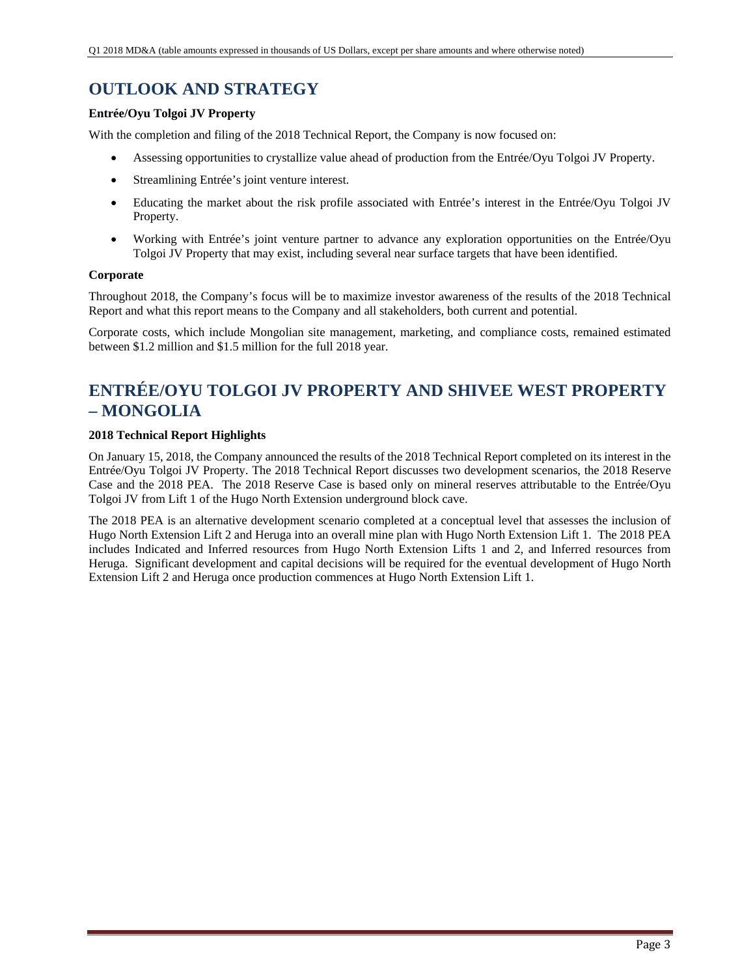# **OUTLOOK AND STRATEGY**

## **Entrée/Oyu Tolgoi JV Property**

With the completion and filing of the 2018 Technical Report, the Company is now focused on:

- Assessing opportunities to crystallize value ahead of production from the Entrée/Oyu Tolgoi JV Property.
- Streamlining Entrée's joint venture interest.
- Educating the market about the risk profile associated with Entrée's interest in the Entrée/Oyu Tolgoi JV Property.
- Working with Entrée's joint venture partner to advance any exploration opportunities on the Entrée/Oyu Tolgoi JV Property that may exist, including several near surface targets that have been identified.

## **Corporate**

Throughout 2018, the Company's focus will be to maximize investor awareness of the results of the 2018 Technical Report and what this report means to the Company and all stakeholders, both current and potential.

Corporate costs, which include Mongolian site management, marketing, and compliance costs, remained estimated between \$1.2 million and \$1.5 million for the full 2018 year.

# **ENTRÉE/OYU TOLGOI JV PROPERTY AND SHIVEE WEST PROPERTY – MONGOLIA**

## **2018 Technical Report Highlights**

On January 15, 2018, the Company announced the results of the 2018 Technical Report completed on its interest in the Entrée/Oyu Tolgoi JV Property. The 2018 Technical Report discusses two development scenarios, the 2018 Reserve Case and the 2018 PEA. The 2018 Reserve Case is based only on mineral reserves attributable to the Entrée/Oyu Tolgoi JV from Lift 1 of the Hugo North Extension underground block cave.

The 2018 PEA is an alternative development scenario completed at a conceptual level that assesses the inclusion of Hugo North Extension Lift 2 and Heruga into an overall mine plan with Hugo North Extension Lift 1. The 2018 PEA includes Indicated and Inferred resources from Hugo North Extension Lifts 1 and 2, and Inferred resources from Heruga. Significant development and capital decisions will be required for the eventual development of Hugo North Extension Lift 2 and Heruga once production commences at Hugo North Extension Lift 1.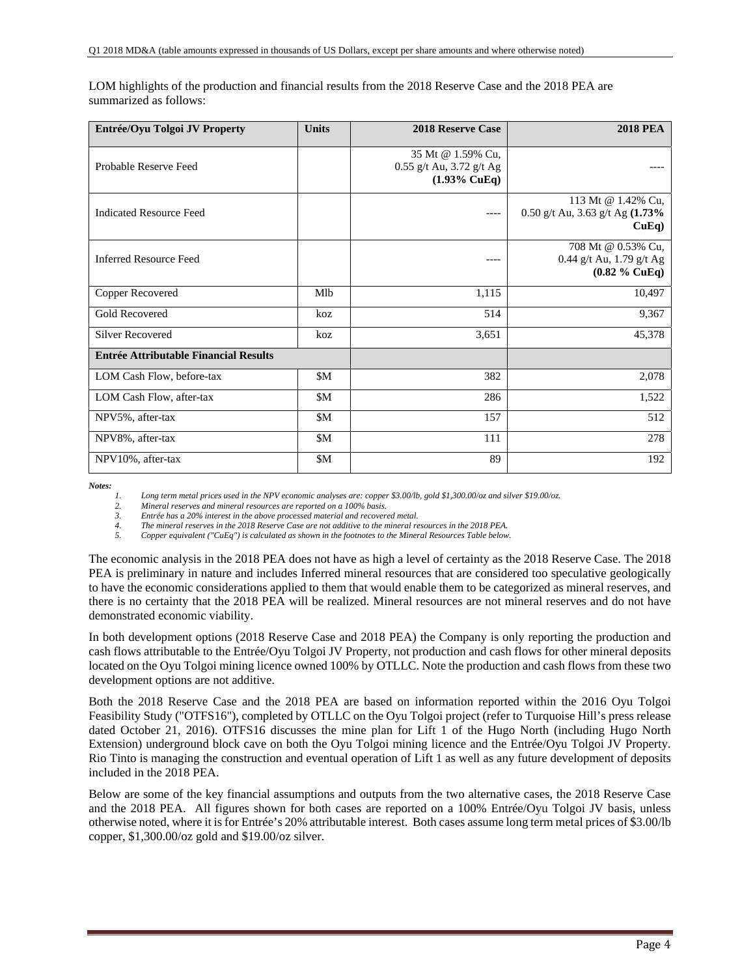| Entrée/Oyu Tolgoi JV Property                | <b>Units</b> | <b>2018 Reserve Case</b>                                                   | <b>2018 PEA</b>                                                    |
|----------------------------------------------|--------------|----------------------------------------------------------------------------|--------------------------------------------------------------------|
| Probable Reserve Feed                        |              | 35 Mt @ 1.59% Cu,<br>$0.55$ g/t Au, 3.72 g/t Ag<br>$(1.93\% \text{ CuEq})$ |                                                                    |
| <b>Indicated Resource Feed</b>               |              | ----                                                                       | 113 Mt @ 1.42% Cu,<br>0.50 g/t Au, 3.63 g/t Ag (1.73%<br>$CuEq$ )  |
| <b>Inferred Resource Feed</b>                |              | $---$                                                                      | 708 Mt @ 0.53% Cu,<br>0.44 g/t Au, 1.79 g/t Ag<br>$(0.82 \%$ CuEq) |
| Copper Recovered                             | Mlb          | 1,115                                                                      | 10,497                                                             |
| Gold Recovered                               | koz          | 514                                                                        | 9,367                                                              |
| Silver Recovered                             | koz          | 3,651                                                                      | 45,378                                                             |
| <b>Entrée Attributable Financial Results</b> |              |                                                                            |                                                                    |
| LOM Cash Flow, before-tax                    | \$M          | 382                                                                        | 2,078                                                              |
| LOM Cash Flow, after-tax                     | \$M          | 286                                                                        | 1,522                                                              |
| NPV5%, after-tax                             | \$M          | 157                                                                        | 512                                                                |
| NPV8%, after-tax                             | \$M          | 111                                                                        | 278                                                                |
| NPV10%, after-tax                            | \$M          | 89                                                                         | 192                                                                |

LOM highlights of the production and financial results from the 2018 Reserve Case and the 2018 PEA are summarized as follows:

*Notes:* 

*1. Long term metal prices used in the NPV economic analyses are: copper \$3.00/lb, gold \$1,300.00/oz and silver \$19.00/oz.* 

*2. Mineral reserves and mineral resources are reported on a 100% basis.* 

*3. Entrée has a 20% interest in the above processed material and recovered metal. 4. The mineral reserves in the 2018 Reserve Case are not additive to the mineral resources in the 2018 PEA.* 

*5. Copper equivalent ("CuEq") is calculated as shown in the footnotes to the Mineral Resources Table below.* 

The economic analysis in the 2018 PEA does not have as high a level of certainty as the 2018 Reserve Case. The 2018 PEA is preliminary in nature and includes Inferred mineral resources that are considered too speculative geologically to have the economic considerations applied to them that would enable them to be categorized as mineral reserves, and there is no certainty that the 2018 PEA will be realized. Mineral resources are not mineral reserves and do not have demonstrated economic viability.

In both development options (2018 Reserve Case and 2018 PEA) the Company is only reporting the production and cash flows attributable to the Entrée/Oyu Tolgoi JV Property, not production and cash flows for other mineral deposits located on the Oyu Tolgoi mining licence owned 100% by OTLLC. Note the production and cash flows from these two development options are not additive.

Both the 2018 Reserve Case and the 2018 PEA are based on information reported within the 2016 Oyu Tolgoi Feasibility Study ("OTFS16"), completed by OTLLC on the Oyu Tolgoi project (refer to Turquoise Hill's press release dated October 21, 2016). OTFS16 discusses the mine plan for Lift 1 of the Hugo North (including Hugo North Extension) underground block cave on both the Oyu Tolgoi mining licence and the Entrée/Oyu Tolgoi JV Property. Rio Tinto is managing the construction and eventual operation of Lift 1 as well as any future development of deposits included in the 2018 PEA.

Below are some of the key financial assumptions and outputs from the two alternative cases, the 2018 Reserve Case and the 2018 PEA. All figures shown for both cases are reported on a 100% Entrée/Oyu Tolgoi JV basis, unless otherwise noted, where it is for Entrée's 20% attributable interest. Both cases assume long term metal prices of \$3.00/lb copper, \$1,300.00/oz gold and \$19.00/oz silver.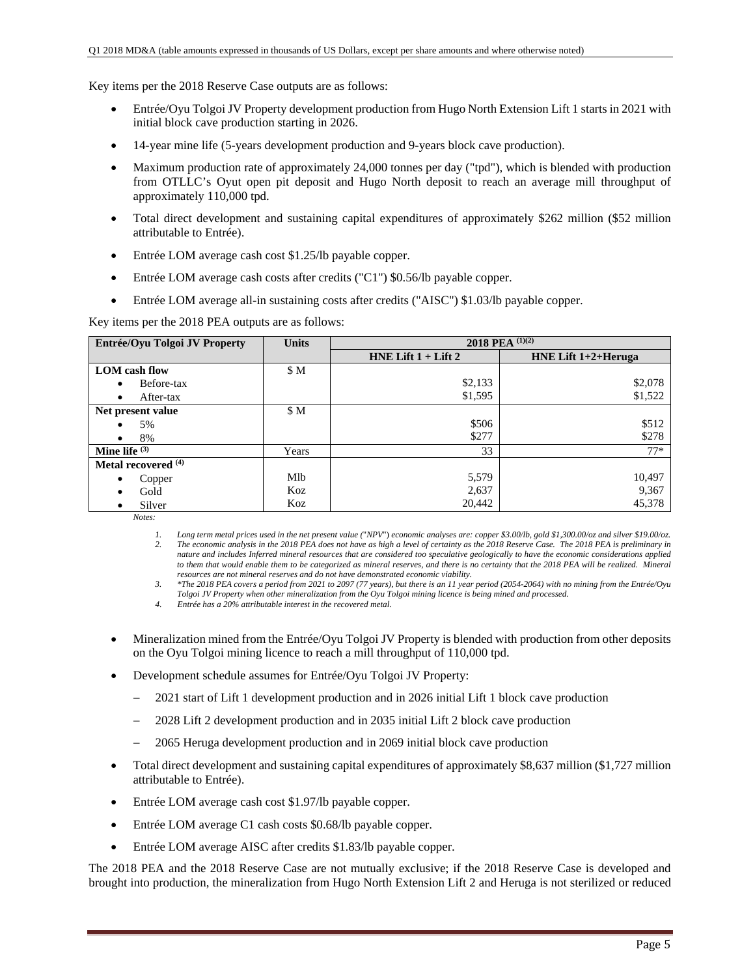Key items per the 2018 Reserve Case outputs are as follows:

- Entrée/Oyu Tolgoi JV Property development production from Hugo North Extension Lift 1 starts in 2021 with initial block cave production starting in 2026.
- 14-year mine life (5-years development production and 9-years block cave production).
- Maximum production rate of approximately 24,000 tonnes per day ("tpd"), which is blended with production from OTLLC's Oyut open pit deposit and Hugo North deposit to reach an average mill throughput of approximately 110,000 tpd.
- Total direct development and sustaining capital expenditures of approximately \$262 million (\$52 million attributable to Entrée).
- Entrée LOM average cash cost \$1.25/lb payable copper.
- Entrée LOM average cash costs after credits ("C1") \$0.56/lb payable copper.
- Entrée LOM average all-in sustaining costs after credits ("AISC") \$1.03/lb payable copper.

Key items per the 2018 PEA outputs are as follows:

| Entrée/Oyu Tolgoi JV Property  | <b>Units</b> | 2018 PEA $(1)(2)$       |                        |  |  |
|--------------------------------|--------------|-------------------------|------------------------|--|--|
|                                |              | HNE Lift $1 +$ Lift $2$ | HNE Lift $1+2+$ Heruga |  |  |
| <b>LOM</b> cash flow           | \$M          |                         |                        |  |  |
| Before-tax                     |              | \$2,133                 | \$2,078                |  |  |
| After-tax<br>$\bullet$         |              | \$1,595                 | \$1,522                |  |  |
| Net present value              | \$M          |                         |                        |  |  |
| 5%                             |              | \$506                   | \$512                  |  |  |
| 8%                             |              | \$277                   | \$278                  |  |  |
| Mine life $(3)$                | Years        | 33                      | $77*$                  |  |  |
| Metal recovered <sup>(4)</sup> |              |                         |                        |  |  |
| Copper<br>$\bullet$            | Mlb          | 5,579                   | 10,497                 |  |  |
| Gold                           | Koz          | 2,637                   | 9,367                  |  |  |
| Silver                         | Koz          | 20,442                  | 45,378                 |  |  |

*Notes:* 

*1. Long term metal prices used in the net present value (*"*NPV*") *economic analyses are: copper \$3.00/lb, gold \$1,300.00/oz and silver \$19.00/oz. 2. The economic analysis in the 2018 PEA does not have as high a level of certainty as the 2018 Reserve Case. The 2018 PEA is preliminary in nature and includes Inferred mineral resources that are considered too speculative geologically to have the economic considerations applied*  to them that would enable them to be categorized as mineral reserves, and there is no certainty that the 2018 PEA will be realized. Mineral *resources are not mineral reserves and do not have demonstrated economic viability.* 

*3. \*The 2018 PEA covers a period from 2021 to 2097 (77 years), but there is an 11 year period (2054-2064) with no mining from the Entrée/Oyu* 

*Tolgoi JV Property when other mineralization from the Oyu Tolgoi mining licence is being mined and processed.* 

*4. Entrée has a 20% attributable interest in the recovered metal.* 

- Mineralization mined from the Entrée/Oyu Tolgoi JV Property is blended with production from other deposits on the Oyu Tolgoi mining licence to reach a mill throughput of 110,000 tpd.
- Development schedule assumes for Entrée/Oyu Tolgoi JV Property:
	- 2021 start of Lift 1 development production and in 2026 initial Lift 1 block cave production
	- 2028 Lift 2 development production and in 2035 initial Lift 2 block cave production
	- 2065 Heruga development production and in 2069 initial block cave production
- Total direct development and sustaining capital expenditures of approximately \$8,637 million (\$1,727 million attributable to Entrée).
- Entrée LOM average cash cost \$1.97/lb payable copper.
- Entrée LOM average C1 cash costs \$0.68/lb payable copper.
- Entrée LOM average AISC after credits \$1.83/lb payable copper.

The 2018 PEA and the 2018 Reserve Case are not mutually exclusive; if the 2018 Reserve Case is developed and brought into production, the mineralization from Hugo North Extension Lift 2 and Heruga is not sterilized or reduced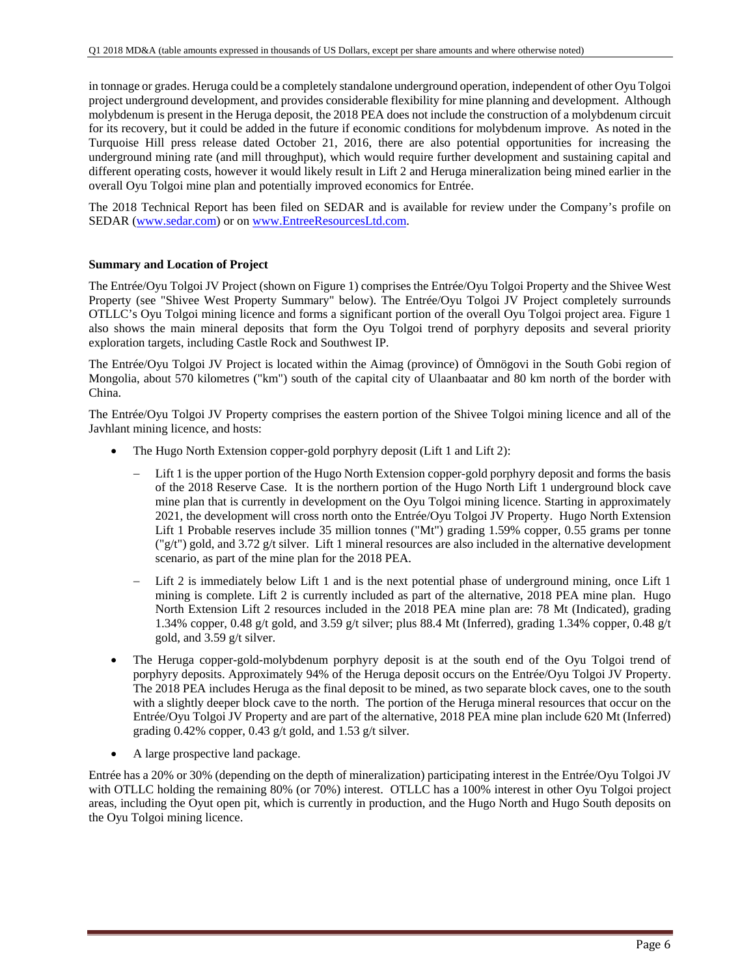in tonnage or grades. Heruga could be a completely standalone underground operation, independent of other Oyu Tolgoi project underground development, and provides considerable flexibility for mine planning and development. Although molybdenum is present in the Heruga deposit, the 2018 PEA does not include the construction of a molybdenum circuit for its recovery, but it could be added in the future if economic conditions for molybdenum improve. As noted in the Turquoise Hill press release dated October 21, 2016, there are also potential opportunities for increasing the underground mining rate (and mill throughput), which would require further development and sustaining capital and different operating costs, however it would likely result in Lift 2 and Heruga mineralization being mined earlier in the overall Oyu Tolgoi mine plan and potentially improved economics for Entrée.

The 2018 Technical Report has been filed on SEDAR and is available for review under the Company's profile on SEDAR (www.sedar.com) or on www.EntreeResourcesLtd.com.

#### **Summary and Location of Project**

The Entrée/Oyu Tolgoi JV Project (shown on Figure 1) comprises the Entrée/Oyu Tolgoi Property and the Shivee West Property (see "Shivee West Property Summary" below). The Entrée/Oyu Tolgoi JV Project completely surrounds OTLLC's Oyu Tolgoi mining licence and forms a significant portion of the overall Oyu Tolgoi project area. Figure 1 also shows the main mineral deposits that form the Oyu Tolgoi trend of porphyry deposits and several priority exploration targets, including Castle Rock and Southwest IP.

The Entrée/Oyu Tolgoi JV Project is located within the Aimag (province) of Ömnögovi in the South Gobi region of Mongolia, about 570 kilometres ("km") south of the capital city of Ulaanbaatar and 80 km north of the border with China.

The Entrée/Oyu Tolgoi JV Property comprises the eastern portion of the Shivee Tolgoi mining licence and all of the Javhlant mining licence, and hosts:

- The Hugo North Extension copper-gold porphyry deposit (Lift 1 and Lift 2):
	- Lift 1 is the upper portion of the Hugo North Extension copper-gold porphyry deposit and forms the basis of the 2018 Reserve Case. It is the northern portion of the Hugo North Lift 1 underground block cave mine plan that is currently in development on the Oyu Tolgoi mining licence. Starting in approximately 2021, the development will cross north onto the Entrée/Oyu Tolgoi JV Property. Hugo North Extension Lift 1 Probable reserves include 35 million tonnes ("Mt") grading 1.59% copper, 0.55 grams per tonne  $\frac{\gamma g}{t}$ ") gold, and 3.72 g/t silver. Lift 1 mineral resources are also included in the alternative development scenario, as part of the mine plan for the 2018 PEA.
	- Lift 2 is immediately below Lift 1 and is the next potential phase of underground mining, once Lift 1 mining is complete. Lift 2 is currently included as part of the alternative, 2018 PEA mine plan. Hugo North Extension Lift 2 resources included in the 2018 PEA mine plan are: 78 Mt (Indicated), grading 1.34% copper, 0.48 g/t gold, and 3.59 g/t silver; plus 88.4 Mt (Inferred), grading 1.34% copper, 0.48 g/t gold, and 3.59 g/t silver.
- The Heruga copper-gold-molybdenum porphyry deposit is at the south end of the Oyu Tolgoi trend of porphyry deposits. Approximately 94% of the Heruga deposit occurs on the Entrée/Oyu Tolgoi JV Property. The 2018 PEA includes Heruga as the final deposit to be mined, as two separate block caves, one to the south with a slightly deeper block cave to the north. The portion of the Heruga mineral resources that occur on the Entrée/Oyu Tolgoi JV Property and are part of the alternative, 2018 PEA mine plan include 620 Mt (Inferred) grading 0.42% copper, 0.43 g/t gold, and 1.53 g/t silver.
- A large prospective land package.

Entrée has a 20% or 30% (depending on the depth of mineralization) participating interest in the Entrée/Oyu Tolgoi JV with OTLLC holding the remaining 80% (or 70%) interest. OTLLC has a 100% interest in other Oyu Tolgoi project areas, including the Oyut open pit, which is currently in production, and the Hugo North and Hugo South deposits on the Oyu Tolgoi mining licence.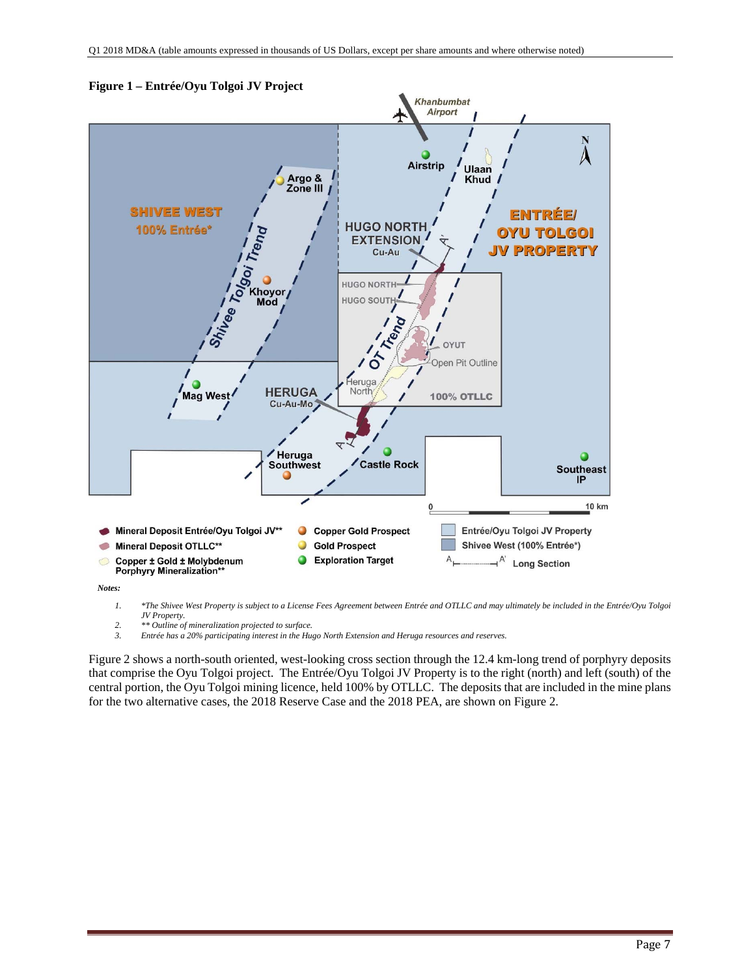

**Figure 1 – Entrée/Oyu Tolgoi JV Project** 

*Notes:* 

*1. \*The Shivee West Property is subject to a License Fees Agreement between Entrée and OTLLC and may ultimately be included in the Entrée/Oyu Tolgoi JV Property.* 

*2. \*\* Outline of mineralization projected to surface.* 

*3. Entrée has a 20% participating interest in the Hugo North Extension and Heruga resources and reserves.* 

Figure 2 shows a north-south oriented, west-looking cross section through the 12.4 km-long trend of porphyry deposits that comprise the Oyu Tolgoi project. The Entrée/Oyu Tolgoi JV Property is to the right (north) and left (south) of the central portion, the Oyu Tolgoi mining licence, held 100% by OTLLC. The deposits that are included in the mine plans for the two alternative cases, the 2018 Reserve Case and the 2018 PEA, are shown on Figure 2.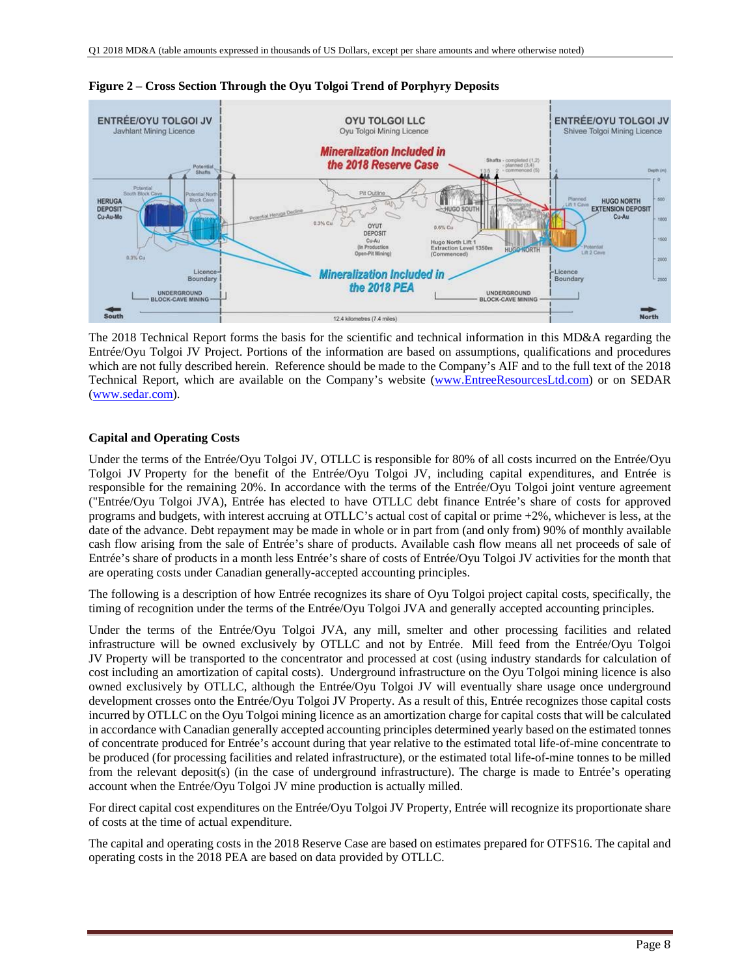

**Figure 2 – Cross Section Through the Oyu Tolgoi Trend of Porphyry Deposits** 

The 2018 Technical Report forms the basis for the scientific and technical information in this MD&A regarding the Entrée/Oyu Tolgoi JV Project. Portions of the information are based on assumptions, qualifications and procedures which are not fully described herein. Reference should be made to the Company's AIF and to the full text of the 2018 Technical Report, which are available on the Company's website (www.EntreeResourcesLtd.com) or on SEDAR (www.sedar.com).

#### **Capital and Operating Costs**

Under the terms of the Entrée/Oyu Tolgoi JV, OTLLC is responsible for 80% of all costs incurred on the Entrée/Oyu Tolgoi JV Property for the benefit of the Entrée/Oyu Tolgoi JV, including capital expenditures, and Entrée is responsible for the remaining 20%. In accordance with the terms of the Entrée/Oyu Tolgoi joint venture agreement ("Entrée/Oyu Tolgoi JVA), Entrée has elected to have OTLLC debt finance Entrée's share of costs for approved programs and budgets, with interest accruing at OTLLC's actual cost of capital or prime +2%, whichever is less, at the date of the advance. Debt repayment may be made in whole or in part from (and only from) 90% of monthly available cash flow arising from the sale of Entrée's share of products. Available cash flow means all net proceeds of sale of Entrée's share of products in a month less Entrée's share of costs of Entrée/Oyu Tolgoi JV activities for the month that are operating costs under Canadian generally-accepted accounting principles.

The following is a description of how Entrée recognizes its share of Oyu Tolgoi project capital costs, specifically, the timing of recognition under the terms of the Entrée/Oyu Tolgoi JVA and generally accepted accounting principles.

Under the terms of the Entrée/Oyu Tolgoi JVA, any mill, smelter and other processing facilities and related infrastructure will be owned exclusively by OTLLC and not by Entrée. Mill feed from the Entrée/Oyu Tolgoi JV Property will be transported to the concentrator and processed at cost (using industry standards for calculation of cost including an amortization of capital costs). Underground infrastructure on the Oyu Tolgoi mining licence is also owned exclusively by OTLLC, although the Entrée/Oyu Tolgoi JV will eventually share usage once underground development crosses onto the Entrée/Oyu Tolgoi JV Property. As a result of this, Entrée recognizes those capital costs incurred by OTLLC on the Oyu Tolgoi mining licence as an amortization charge for capital costs that will be calculated in accordance with Canadian generally accepted accounting principles determined yearly based on the estimated tonnes of concentrate produced for Entrée's account during that year relative to the estimated total life-of-mine concentrate to be produced (for processing facilities and related infrastructure), or the estimated total life-of-mine tonnes to be milled from the relevant deposit(s) (in the case of underground infrastructure). The charge is made to Entrée's operating account when the Entrée/Oyu Tolgoi JV mine production is actually milled.

For direct capital cost expenditures on the Entrée/Oyu Tolgoi JV Property, Entrée will recognize its proportionate share of costs at the time of actual expenditure.

The capital and operating costs in the 2018 Reserve Case are based on estimates prepared for OTFS16. The capital and operating costs in the 2018 PEA are based on data provided by OTLLC.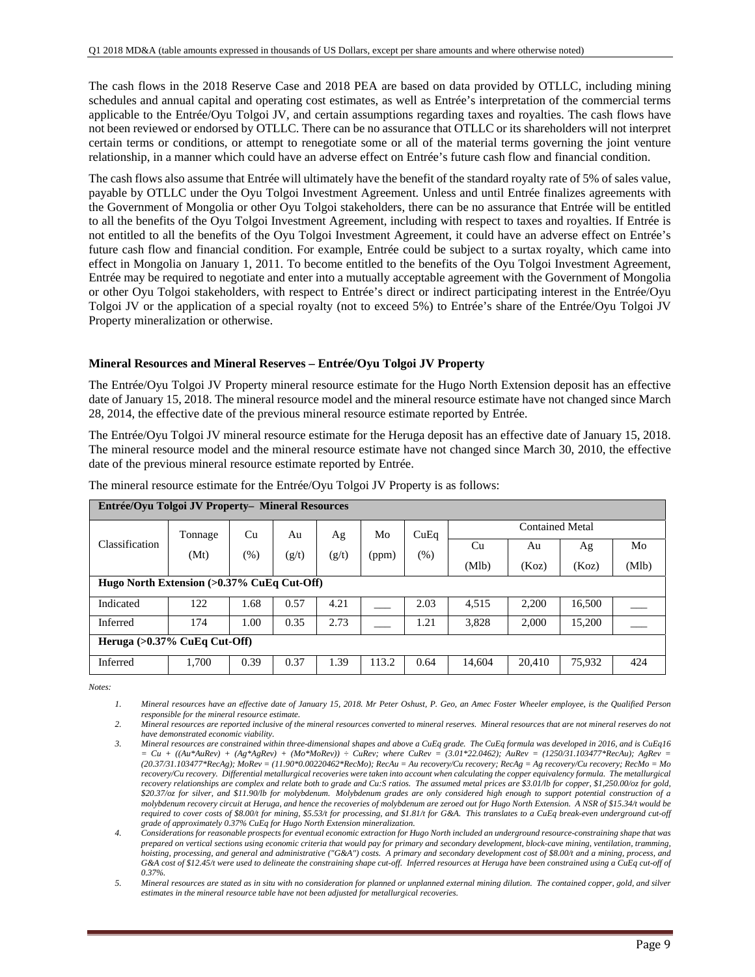The cash flows in the 2018 Reserve Case and 2018 PEA are based on data provided by OTLLC, including mining schedules and annual capital and operating cost estimates, as well as Entrée's interpretation of the commercial terms applicable to the Entrée/Oyu Tolgoi JV, and certain assumptions regarding taxes and royalties. The cash flows have not been reviewed or endorsed by OTLLC. There can be no assurance that OTLLC or its shareholders will not interpret certain terms or conditions, or attempt to renegotiate some or all of the material terms governing the joint venture relationship, in a manner which could have an adverse effect on Entrée's future cash flow and financial condition.

The cash flows also assume that Entrée will ultimately have the benefit of the standard royalty rate of 5% of sales value, payable by OTLLC under the Oyu Tolgoi Investment Agreement. Unless and until Entrée finalizes agreements with the Government of Mongolia or other Oyu Tolgoi stakeholders, there can be no assurance that Entrée will be entitled to all the benefits of the Oyu Tolgoi Investment Agreement, including with respect to taxes and royalties. If Entrée is not entitled to all the benefits of the Oyu Tolgoi Investment Agreement, it could have an adverse effect on Entrée's future cash flow and financial condition. For example, Entrée could be subject to a surtax royalty, which came into effect in Mongolia on January 1, 2011. To become entitled to the benefits of the Oyu Tolgoi Investment Agreement, Entrée may be required to negotiate and enter into a mutually acceptable agreement with the Government of Mongolia or other Oyu Tolgoi stakeholders, with respect to Entrée's direct or indirect participating interest in the Entrée/Oyu Tolgoi JV or the application of a special royalty (not to exceed 5%) to Entrée's share of the Entrée/Oyu Tolgoi JV Property mineralization or otherwise.

#### **Mineral Resources and Mineral Reserves – Entrée/Oyu Tolgoi JV Property**

The Entrée/Oyu Tolgoi JV Property mineral resource estimate for the Hugo North Extension deposit has an effective date of January 15, 2018. The mineral resource model and the mineral resource estimate have not changed since March 28, 2014, the effective date of the previous mineral resource estimate reported by Entrée.

The Entrée/Oyu Tolgoi JV mineral resource estimate for the Heruga deposit has an effective date of January 15, 2018. The mineral resource model and the mineral resource estimate have not changed since March 30, 2010, the effective date of the previous mineral resource estimate reported by Entrée.

| Entrée/Oyu Tolgoi JV Property- Mineral Resources |                                            |        |       |       |       |        |        |                 |        |       |
|--------------------------------------------------|--------------------------------------------|--------|-------|-------|-------|--------|--------|-----------------|--------|-------|
|                                                  | Tonnage                                    | Cu     | Au    | Ag    | Mo    | CuEq   |        | Contained Metal |        |       |
| Classification                                   | (Mt)                                       | $(\%)$ | (g/t) | (g/t) | (ppm) | $(\%)$ | Cu     | Au              | Ag     | Mo    |
|                                                  |                                            |        |       |       |       |        | (Mlb)  | (Koz)           | (Koz)  | (Mlb) |
|                                                  | Hugo North Extension (>0.37% CuEq Cut-Off) |        |       |       |       |        |        |                 |        |       |
| Indicated                                        | 122                                        | 1.68   | 0.57  | 4.21  |       | 2.03   | 4,515  | 2,200           | 16,500 |       |
| Inferred                                         | 174                                        | 1.00   | 0.35  | 2.73  |       | 1.21   | 3,828  | 2,000           | 15,200 |       |
| Heruga $(>0.37\%$ CuEq Cut-Off)                  |                                            |        |       |       |       |        |        |                 |        |       |
| Inferred                                         | 1,700                                      | 0.39   | 0.37  | 1.39  | 113.2 | 0.64   | 14,604 | 20,410          | 75,932 | 424   |

The mineral resource estimate for the Entrée/Oyu Tolgoi JV Property is as follows:

*Notes:* 

*<sup>1.</sup> Mineral resources have an effective date of January 15, 2018. Mr Peter Oshust, P. Geo, an Amec Foster Wheeler employee, is the Qualified Person responsible for the mineral resource estimate.* 

*<sup>2.</sup> Mineral resources are reported inclusive of the mineral resources converted to mineral reserves. Mineral resources that are not mineral reserves do not have demonstrated economic viability.* 

*<sup>3.</sup> Mineral resources are constrained within three-dimensional shapes and above a CuEq grade. The CuEq formula was developed in 2016, and is CuEq16*   $= Cu + ((Au*AuRev) + (Ag*AgRev) + (Mo*MoRev)) \div CuRev;$  where  $CuRev = (3.01*22.0462);$  AuRev = (1250/31.103477\*RecAu); AgRev = *(20.37/31.103477\*RecAg); MoRev = (11.90\*0.00220462\*RecMo); RecAu = Au recovery/Cu recovery; RecAg = Ag recovery/Cu recovery; RecMo = Mo recovery/Cu recovery. Differential metallurgical recoveries were taken into account when calculating the copper equivalency formula. The metallurgical recovery relationships are complex and relate both to grade and Cu:S ratios. The assumed metal prices are \$3.01/lb for copper, \$1,250.00/oz for gold, \$20.37/oz for silver, and \$11.90/lb for molybdenum. Molybdenum grades are only considered high enough to support potential construction of a molybdenum recovery circuit at Heruga, and hence the recoveries of molybdenum are zeroed out for Hugo North Extension. A NSR of \$15.34/t would be*  required to cover costs of \$8.00/t for mining, \$5.53/t for processing, and \$1.81/t for G&A. This translates to a CuEq break-even underground cut-off *grade of approximately 0.37% CuEq for Hugo North Extension mineralization.* 

*<sup>4.</sup> Considerations for reasonable prospects for eventual economic extraction for Hugo North included an underground resource-constraining shape that was prepared on vertical sections using economic criteria that would pay for primary and secondary development, block-cave mining, ventilation, tramming, hoisting, processing, and general and administrative ("G&A") costs. A primary and secondary development cost of \$8.00/t and a mining, process, and*  G&A cost of \$12.45/t were used to delineate the constraining shape cut-off. Inferred resources at Heruga have been constrained using a CuEq cut-off of *0.37%.* 

*<sup>5.</sup> Mineral resources are stated as in situ with no consideration for planned or unplanned external mining dilution. The contained copper, gold, and silver estimates in the mineral resource table have not been adjusted for metallurgical recoveries.*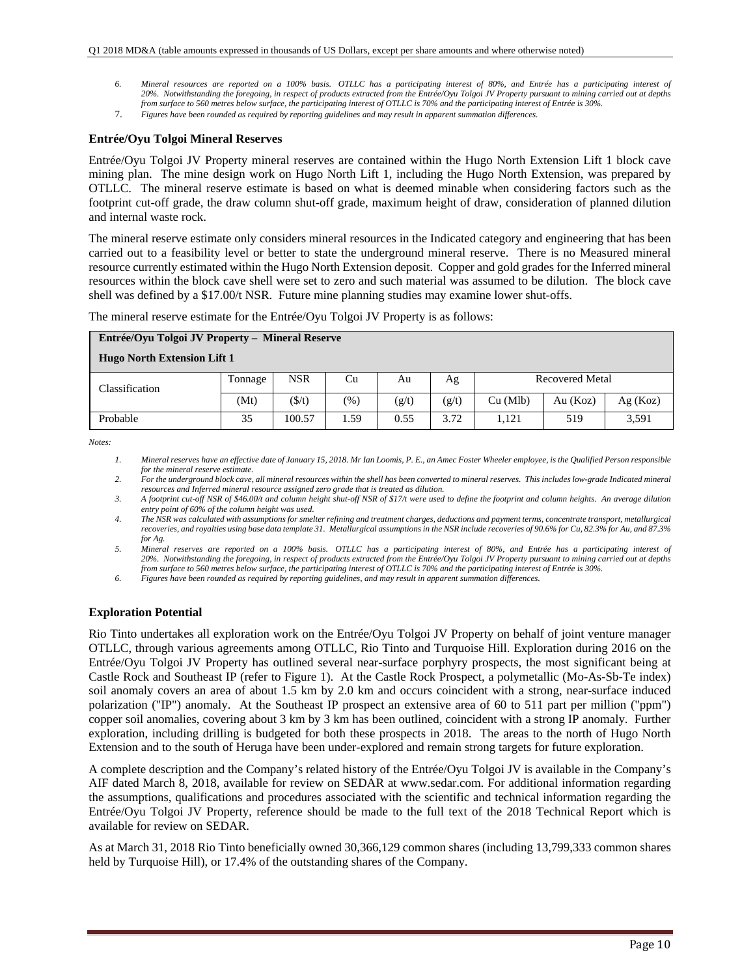- *6. Mineral resources are reported on a 100% basis. OTLLC has a participating interest of 80%, and Entrée has a participating interest of 20%. Notwithstanding the foregoing, in respect of products extracted from the Entrée/Oyu Tolgoi JV Property pursuant to mining carried out at depths from surface to 560 metres below surface, the participating interest of OTLLC is 70% and the participating interest of Entrée is 30%.*
- 7. *Figures have been rounded as required by reporting guidelines and may result in apparent summation differences.*

#### **Entrée/Oyu Tolgoi Mineral Reserves**

Entrée/Oyu Tolgoi JV Property mineral reserves are contained within the Hugo North Extension Lift 1 block cave mining plan. The mine design work on Hugo North Lift 1, including the Hugo North Extension, was prepared by OTLLC. The mineral reserve estimate is based on what is deemed minable when considering factors such as the footprint cut-off grade, the draw column shut-off grade, maximum height of draw, consideration of planned dilution and internal waste rock.

The mineral reserve estimate only considers mineral resources in the Indicated category and engineering that has been carried out to a feasibility level or better to state the underground mineral reserve. There is no Measured mineral resource currently estimated within the Hugo North Extension deposit. Copper and gold grades for the Inferred mineral resources within the block cave shell were set to zero and such material was assumed to be dilution. The block cave shell was defined by a \$17.00/t NSR. Future mine planning studies may examine lower shut-offs.

The mineral reserve estimate for the Entrée/Oyu Tolgoi JV Property is as follows:

| Entrée/Oyu Tolgoi JV Property – Mineral Reserve |         |            |               |       |       |                        |          |         |
|-------------------------------------------------|---------|------------|---------------|-------|-------|------------------------|----------|---------|
| <b>Hugo North Extension Lift 1</b>              |         |            |               |       |       |                        |          |         |
| Classification                                  | Tonnage | <b>NSR</b> | Cu            | Au    | Ag    | <b>Recovered Metal</b> |          |         |
|                                                 | (Mt)    | (\$/t)     | $\frac{9}{6}$ | (g/t) | (g/t) | Cu (Mlb)               | Au (Koz) | Ag(Koz) |
| Probable                                        | 35      | 100.57     | 1.59          | 0.55  | 3.72  | 1.121                  | 519      | 3,591   |

*Notes:* 

*1. Mineral reserves have an effective date of January 15, 2018. Mr Ian Loomis, P. E., an Amec Foster Wheeler employee, is the Qualified Person responsible for the mineral reserve estimate.* 

*2. For the underground block cave, all mineral resources within the shell has been converted to mineral reserves. This includes low-grade Indicated mineral resources and Inferred mineral resource assigned zero grade that is treated as dilution.* 

*3. A footprint cut-off NSR of \$46.00/t and column height shut-off NSR of \$17/t were used to define the footprint and column heights. An average dilution entry point of 60% of the column height was used.* 

*4. The NSR was calculated with assumptions for smelter refining and treatment charges, deductions and payment terms, concentrate transport, metallurgical recoveries, and royalties using base data template 31. Metallurgical assumptions in the NSR include recoveries of 90.6% for Cu, 82.3% for Au, and 87.3% for Ag.* 

*5. Mineral reserves are reported on a 100% basis. OTLLC has a participating interest of 80%, and Entrée has a participating interest of 20%. Notwithstanding the foregoing, in respect of products extracted from the Entrée/Oyu Tolgoi JV Property pursuant to mining carried out at depths from surface to 560 metres below surface, the participating interest of OTLLC is 70% and the participating interest of Entrée is 30%.* 

*6. Figures have been rounded as required by reporting guidelines, and may result in apparent summation differences.* 

#### **Exploration Potential**

Rio Tinto undertakes all exploration work on the Entrée/Oyu Tolgoi JV Property on behalf of joint venture manager OTLLC, through various agreements among OTLLC, Rio Tinto and Turquoise Hill. Exploration during 2016 on the Entrée/Oyu Tolgoi JV Property has outlined several near-surface porphyry prospects, the most significant being at Castle Rock and Southeast IP (refer to Figure 1). At the Castle Rock Prospect, a polymetallic (Mo-As-Sb-Te index) soil anomaly covers an area of about 1.5 km by 2.0 km and occurs coincident with a strong, near-surface induced polarization ("IP") anomaly. At the Southeast IP prospect an extensive area of 60 to 511 part per million ("ppm") copper soil anomalies, covering about 3 km by 3 km has been outlined, coincident with a strong IP anomaly. Further exploration, including drilling is budgeted for both these prospects in 2018. The areas to the north of Hugo North Extension and to the south of Heruga have been under-explored and remain strong targets for future exploration.

A complete description and the Company's related history of the Entrée/Oyu Tolgoi JV is available in the Company's AIF dated March 8, 2018, available for review on SEDAR at www.sedar.com. For additional information regarding the assumptions, qualifications and procedures associated with the scientific and technical information regarding the Entrée/Oyu Tolgoi JV Property, reference should be made to the full text of the 2018 Technical Report which is available for review on SEDAR.

As at March 31, 2018 Rio Tinto beneficially owned 30,366,129 common shares (including 13,799,333 common shares held by Turquoise Hill), or 17.4% of the outstanding shares of the Company.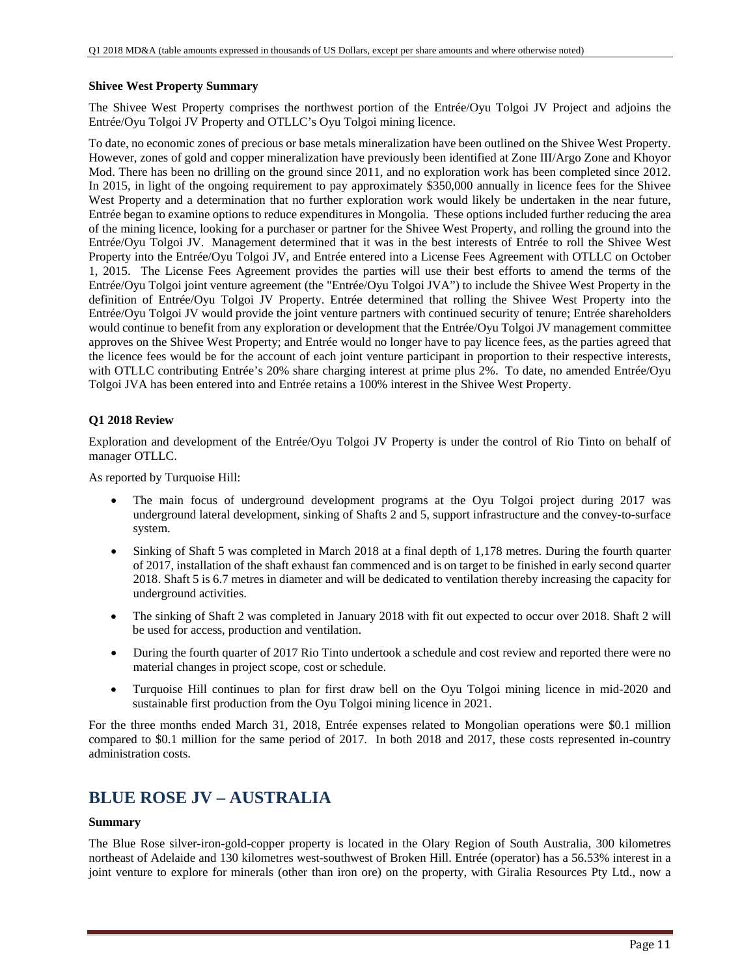#### **Shivee West Property Summary**

The Shivee West Property comprises the northwest portion of the Entrée/Oyu Tolgoi JV Project and adjoins the Entrée/Oyu Tolgoi JV Property and OTLLC's Oyu Tolgoi mining licence.

To date, no economic zones of precious or base metals mineralization have been outlined on the Shivee West Property. However, zones of gold and copper mineralization have previously been identified at Zone III/Argo Zone and Khoyor Mod. There has been no drilling on the ground since 2011, and no exploration work has been completed since 2012. In 2015, in light of the ongoing requirement to pay approximately \$350,000 annually in licence fees for the Shivee West Property and a determination that no further exploration work would likely be undertaken in the near future, Entrée began to examine options to reduce expenditures in Mongolia. These options included further reducing the area of the mining licence, looking for a purchaser or partner for the Shivee West Property, and rolling the ground into the Entrée/Oyu Tolgoi JV. Management determined that it was in the best interests of Entrée to roll the Shivee West Property into the Entrée/Oyu Tolgoi JV, and Entrée entered into a License Fees Agreement with OTLLC on October 1, 2015. The License Fees Agreement provides the parties will use their best efforts to amend the terms of the Entrée/Oyu Tolgoi joint venture agreement (the "Entrée/Oyu Tolgoi JVA") to include the Shivee West Property in the definition of Entrée/Oyu Tolgoi JV Property. Entrée determined that rolling the Shivee West Property into the Entrée/Oyu Tolgoi JV would provide the joint venture partners with continued security of tenure; Entrée shareholders would continue to benefit from any exploration or development that the Entrée/Oyu Tolgoi JV management committee approves on the Shivee West Property; and Entrée would no longer have to pay licence fees, as the parties agreed that the licence fees would be for the account of each joint venture participant in proportion to their respective interests, with OTLLC contributing Entrée's 20% share charging interest at prime plus 2%. To date, no amended Entrée/Oyu Tolgoi JVA has been entered into and Entrée retains a 100% interest in the Shivee West Property.

## **Q1 2018 Review**

Exploration and development of the Entrée/Oyu Tolgoi JV Property is under the control of Rio Tinto on behalf of manager OTLLC.

As reported by Turquoise Hill:

- The main focus of underground development programs at the Oyu Tolgoi project during 2017 was underground lateral development, sinking of Shafts 2 and 5, support infrastructure and the convey-to-surface system.
- Sinking of Shaft 5 was completed in March 2018 at a final depth of 1,178 metres. During the fourth quarter of 2017, installation of the shaft exhaust fan commenced and is on target to be finished in early second quarter 2018. Shaft 5 is 6.7 metres in diameter and will be dedicated to ventilation thereby increasing the capacity for underground activities.
- The sinking of Shaft 2 was completed in January 2018 with fit out expected to occur over 2018. Shaft 2 will be used for access, production and ventilation.
- During the fourth quarter of 2017 Rio Tinto undertook a schedule and cost review and reported there were no material changes in project scope, cost or schedule.
- Turquoise Hill continues to plan for first draw bell on the Oyu Tolgoi mining licence in mid-2020 and sustainable first production from the Oyu Tolgoi mining licence in 2021.

For the three months ended March 31, 2018, Entrée expenses related to Mongolian operations were \$0.1 million compared to \$0.1 million for the same period of 2017. In both 2018 and 2017, these costs represented in-country administration costs.

# **BLUE ROSE JV – AUSTRALIA**

## **Summary**

The Blue Rose silver-iron-gold-copper property is located in the Olary Region of South Australia, 300 kilometres northeast of Adelaide and 130 kilometres west-southwest of Broken Hill. Entrée (operator) has a 56.53% interest in a joint venture to explore for minerals (other than iron ore) on the property, with Giralia Resources Pty Ltd., now a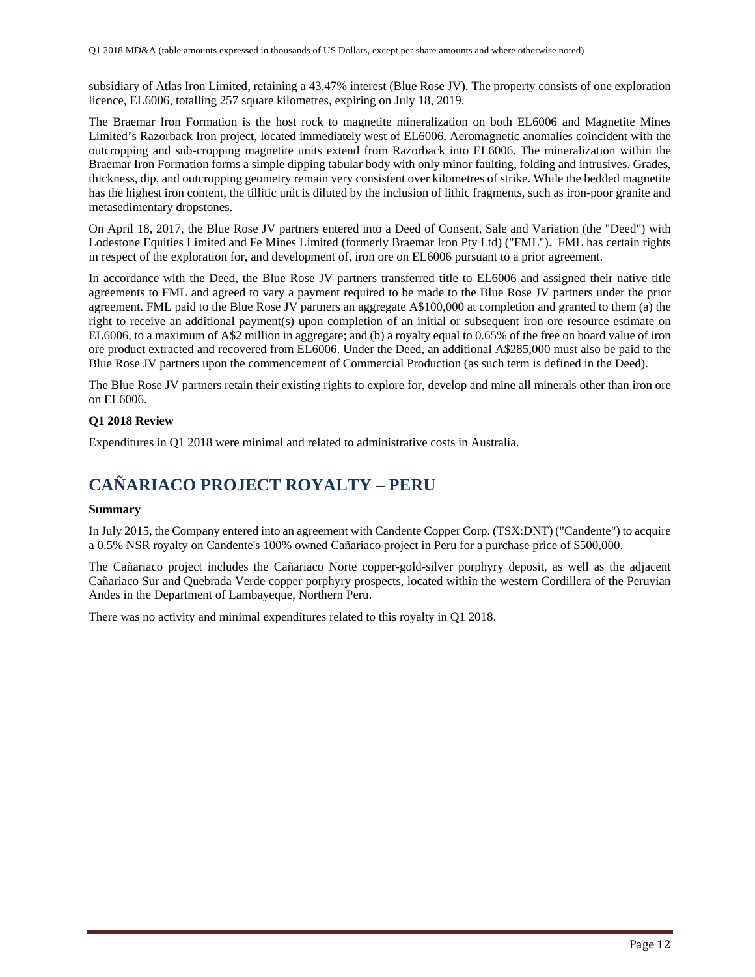subsidiary of Atlas Iron Limited, retaining a 43.47% interest (Blue Rose JV). The property consists of one exploration licence, EL6006, totalling 257 square kilometres, expiring on July 18, 2019.

The Braemar Iron Formation is the host rock to magnetite mineralization on both EL6006 and Magnetite Mines Limited's Razorback Iron project, located immediately west of EL6006. Aeromagnetic anomalies coincident with the outcropping and sub-cropping magnetite units extend from Razorback into EL6006. The mineralization within the Braemar Iron Formation forms a simple dipping tabular body with only minor faulting, folding and intrusives. Grades, thickness, dip, and outcropping geometry remain very consistent over kilometres of strike. While the bedded magnetite has the highest iron content, the tillitic unit is diluted by the inclusion of lithic fragments, such as iron-poor granite and metasedimentary dropstones.

On April 18, 2017, the Blue Rose JV partners entered into a Deed of Consent, Sale and Variation (the "Deed") with Lodestone Equities Limited and Fe Mines Limited (formerly Braemar Iron Pty Ltd) ("FML"). FML has certain rights in respect of the exploration for, and development of, iron ore on EL6006 pursuant to a prior agreement.

In accordance with the Deed, the Blue Rose JV partners transferred title to EL6006 and assigned their native title agreements to FML and agreed to vary a payment required to be made to the Blue Rose JV partners under the prior agreement. FML paid to the Blue Rose JV partners an aggregate A\$100,000 at completion and granted to them (a) the right to receive an additional payment(s) upon completion of an initial or subsequent iron ore resource estimate on EL6006, to a maximum of A\$2 million in aggregate; and (b) a royalty equal to 0.65% of the free on board value of iron ore product extracted and recovered from EL6006. Under the Deed, an additional A\$285,000 must also be paid to the Blue Rose JV partners upon the commencement of Commercial Production (as such term is defined in the Deed).

The Blue Rose JV partners retain their existing rights to explore for, develop and mine all minerals other than iron ore on EL6006.

## **Q1 2018 Review**

Expenditures in Q1 2018 were minimal and related to administrative costs in Australia.

# **CAÑARIACO PROJECT ROYALTY – PERU**

#### **Summary**

In July 2015, the Company entered into an agreement with Candente Copper Corp. (TSX:DNT) ("Candente") to acquire a 0.5% NSR royalty on Candente's 100% owned Cañariaco project in Peru for a purchase price of \$500,000.

The Cañariaco project includes the Cañariaco Norte copper-gold-silver porphyry deposit, as well as the adjacent Cañariaco Sur and Quebrada Verde copper porphyry prospects, located within the western Cordillera of the Peruvian Andes in the Department of Lambayeque, Northern Peru.

There was no activity and minimal expenditures related to this royalty in Q1 2018.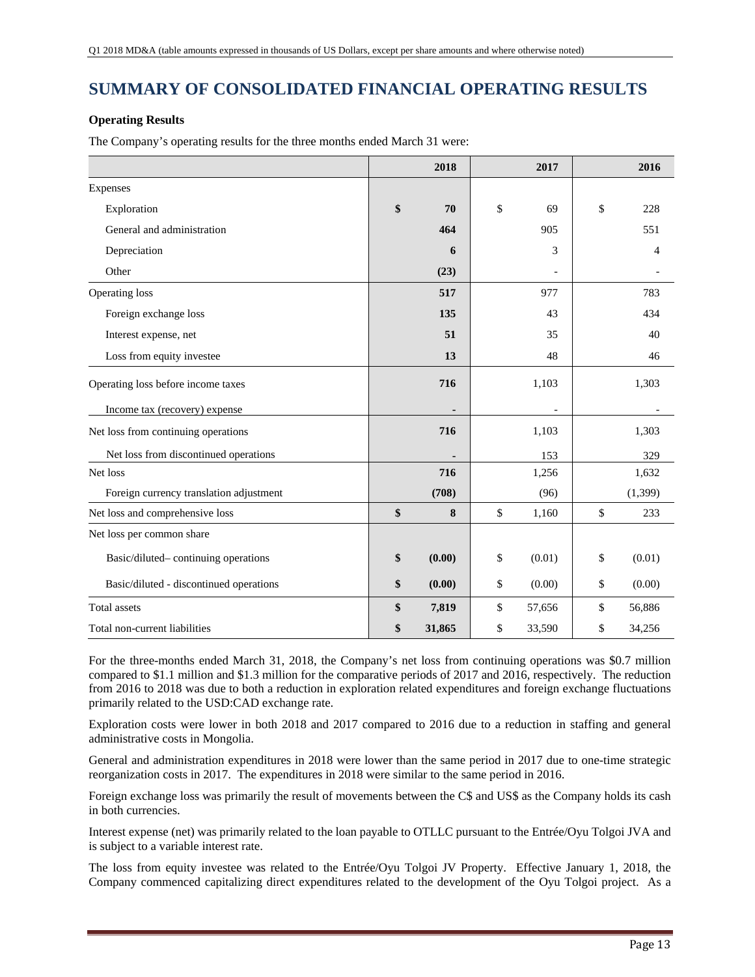# **SUMMARY OF CONSOLIDATED FINANCIAL OPERATING RESULTS**

## **Operating Results**

The Company's operating results for the three months ended March 31 were:

|                                         | 2018          | 2017         | 2016         |
|-----------------------------------------|---------------|--------------|--------------|
| Expenses                                |               |              |              |
| Exploration                             | \$<br>70      | \$<br>69     | \$<br>228    |
| General and administration              | 464           | 905          | 551          |
| Depreciation                            | 6             | 3            | 4            |
| Other                                   | (23)          |              |              |
| Operating loss                          | 517           | 977          | 783          |
| Foreign exchange loss                   | 135           | 43           | 434          |
| Interest expense, net                   | 51            | 35           | 40           |
| Loss from equity investee               | 13            | 48           | 46           |
| Operating loss before income taxes      | 716           | 1,103        | 1,303        |
| Income tax (recovery) expense           |               |              |              |
| Net loss from continuing operations     | 716           | 1,103        | 1,303        |
| Net loss from discontinued operations   |               | 153          | 329          |
| Net loss                                | 716           | 1,256        | 1,632        |
| Foreign currency translation adjustment | (708)         | (96)         | (1, 399)     |
| Net loss and comprehensive loss         | \$<br>$\bf 8$ | \$<br>1,160  | \$<br>233    |
| Net loss per common share               |               |              |              |
| Basic/diluted-continuing operations     | \$<br>(0.00)  | \$<br>(0.01) | \$<br>(0.01) |
| Basic/diluted - discontinued operations | \$<br>(0.00)  | \$<br>(0.00) | \$<br>(0.00) |
| <b>Total</b> assets                     | \$<br>7,819   | \$<br>57,656 | \$<br>56,886 |
| Total non-current liabilities           | \$<br>31,865  | \$<br>33,590 | \$<br>34,256 |

For the three-months ended March 31, 2018, the Company's net loss from continuing operations was \$0.7 million compared to \$1.1 million and \$1.3 million for the comparative periods of 2017 and 2016, respectively. The reduction from 2016 to 2018 was due to both a reduction in exploration related expenditures and foreign exchange fluctuations primarily related to the USD:CAD exchange rate.

Exploration costs were lower in both 2018 and 2017 compared to 2016 due to a reduction in staffing and general administrative costs in Mongolia.

General and administration expenditures in 2018 were lower than the same period in 2017 due to one-time strategic reorganization costs in 2017. The expenditures in 2018 were similar to the same period in 2016.

Foreign exchange loss was primarily the result of movements between the C\$ and US\$ as the Company holds its cash in both currencies.

Interest expense (net) was primarily related to the loan payable to OTLLC pursuant to the Entrée/Oyu Tolgoi JVA and is subject to a variable interest rate.

The loss from equity investee was related to the Entrée/Oyu Tolgoi JV Property. Effective January 1, 2018, the Company commenced capitalizing direct expenditures related to the development of the Oyu Tolgoi project. As a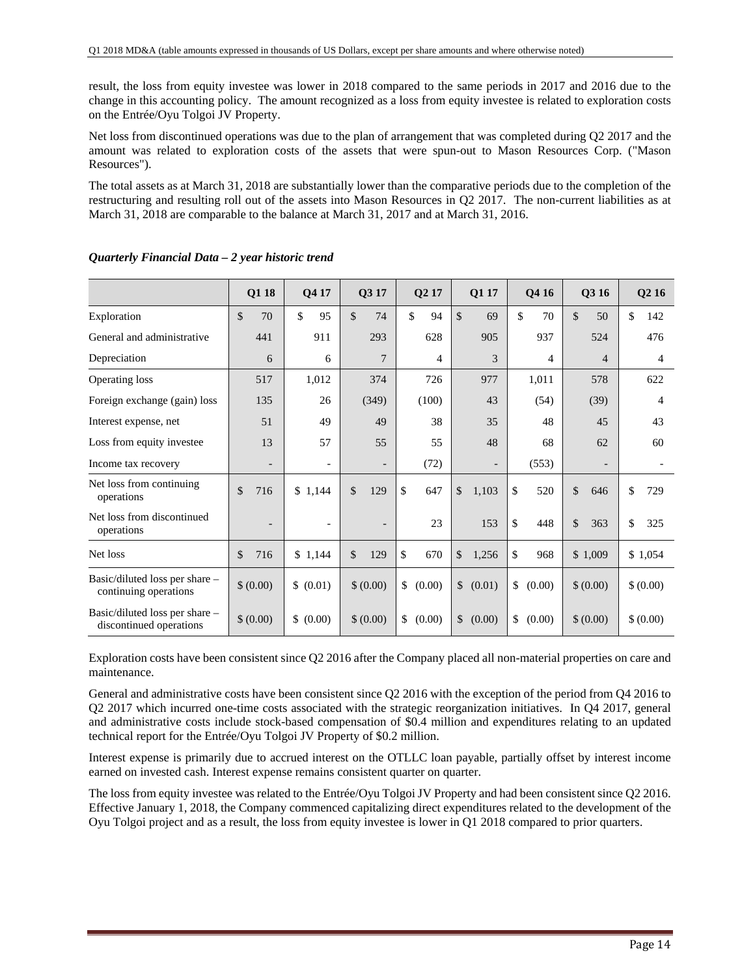result, the loss from equity investee was lower in 2018 compared to the same periods in 2017 and 2016 due to the change in this accounting policy. The amount recognized as a loss from equity investee is related to exploration costs on the Entrée/Oyu Tolgoi JV Property.

Net loss from discontinued operations was due to the plan of arrangement that was completed during Q2 2017 and the amount was related to exploration costs of the assets that were spun-out to Mason Resources Corp. ("Mason Resources").

The total assets as at March 31, 2018 are substantially lower than the comparative periods due to the completion of the restructuring and resulting roll out of the assets into Mason Resources in Q2 2017. The non-current liabilities as at March 31, 2018 are comparable to the balance at March 31, 2017 and at March 31, 2016.

|                                                           | Q1 18                    | Q4 17                    | Q3 17                    | Q2 17        | Q1 17                    | Q4 16          | Q3 16                    | Q <sub>2</sub> 16 |
|-----------------------------------------------------------|--------------------------|--------------------------|--------------------------|--------------|--------------------------|----------------|--------------------------|-------------------|
| Exploration                                               | $\mathcal{S}$<br>70      | \$<br>95                 | \$<br>74                 | \$<br>94     | \$<br>69                 | \$<br>70       | $\mathcal{S}$<br>50      | \$<br>142         |
| General and administrative                                | 441                      | 911                      | 293                      | 628          | 905                      | 937            | 524                      | 476               |
| Depreciation                                              | 6                        | 6                        | $\overline{7}$           | 4            | 3                        | $\overline{4}$ | $\overline{4}$           | 4                 |
| Operating loss                                            | 517                      | 1,012                    | 374                      | 726          | 977                      | 1,011          | 578                      | 622               |
| Foreign exchange (gain) loss                              | 135                      | 26                       | (349)                    | (100)        | 43                       | (54)           | (39)                     | 4                 |
| Interest expense, net                                     | 51                       | 49                       | 49                       | 38           | 35                       | 48             | 45                       | 43                |
| Loss from equity investee                                 | 13                       | 57                       | 55                       | 55           | 48                       | 68             | 62                       | 60                |
| Income tax recovery                                       | $\overline{\phantom{a}}$ | $\overline{\phantom{a}}$ | $\overline{\phantom{a}}$ | (72)         | $\overline{\phantom{a}}$ | (553)          | $\overline{\phantom{a}}$ |                   |
| Net loss from continuing<br>operations                    | \$<br>716                | \$1,144                  | \$<br>129                | \$<br>647    | \$<br>1,103              | \$<br>520      | $\mathsf{\$}$<br>646     | \$<br>729         |
| Net loss from discontinued<br>operations                  | $\overline{\phantom{0}}$ |                          |                          | 23           | 153                      | \$<br>448      | $\mathcal{S}$<br>363     | \$<br>325         |
| Net loss                                                  | \$<br>716                | \$1,144                  | \$<br>129                | \$<br>670    | \$<br>1,256              | \$<br>968      | \$1,009                  | \$1,054           |
| Basic/diluted loss per share –<br>continuing operations   | \$ (0.00)                | \$ (0.01)                | \$ (0.00)                | \$<br>(0.00) | \$<br>(0.01)             | \$<br>(0.00)   | \$ (0.00)                | \$ (0.00)         |
| Basic/diluted loss per share -<br>discontinued operations | \$ (0.00)                | \$ (0.00)                | \$ (0.00)                | \$<br>(0.00) | $\mathbb{S}$<br>(0.00)   | \$<br>(0.00)   | \$ (0.00)                | \$ (0.00)         |

| Quarterly Financial Data - 2 year historic trend |  |  |
|--------------------------------------------------|--|--|
|                                                  |  |  |

Exploration costs have been consistent since Q2 2016 after the Company placed all non-material properties on care and maintenance.

General and administrative costs have been consistent since Q2 2016 with the exception of the period from Q4 2016 to Q2 2017 which incurred one-time costs associated with the strategic reorganization initiatives. In Q4 2017, general and administrative costs include stock-based compensation of \$0.4 million and expenditures relating to an updated technical report for the Entrée/Oyu Tolgoi JV Property of \$0.2 million.

Interest expense is primarily due to accrued interest on the OTLLC loan payable, partially offset by interest income earned on invested cash. Interest expense remains consistent quarter on quarter.

The loss from equity investee was related to the Entrée/Oyu Tolgoi JV Property and had been consistent since Q2 2016. Effective January 1, 2018, the Company commenced capitalizing direct expenditures related to the development of the Oyu Tolgoi project and as a result, the loss from equity investee is lower in Q1 2018 compared to prior quarters.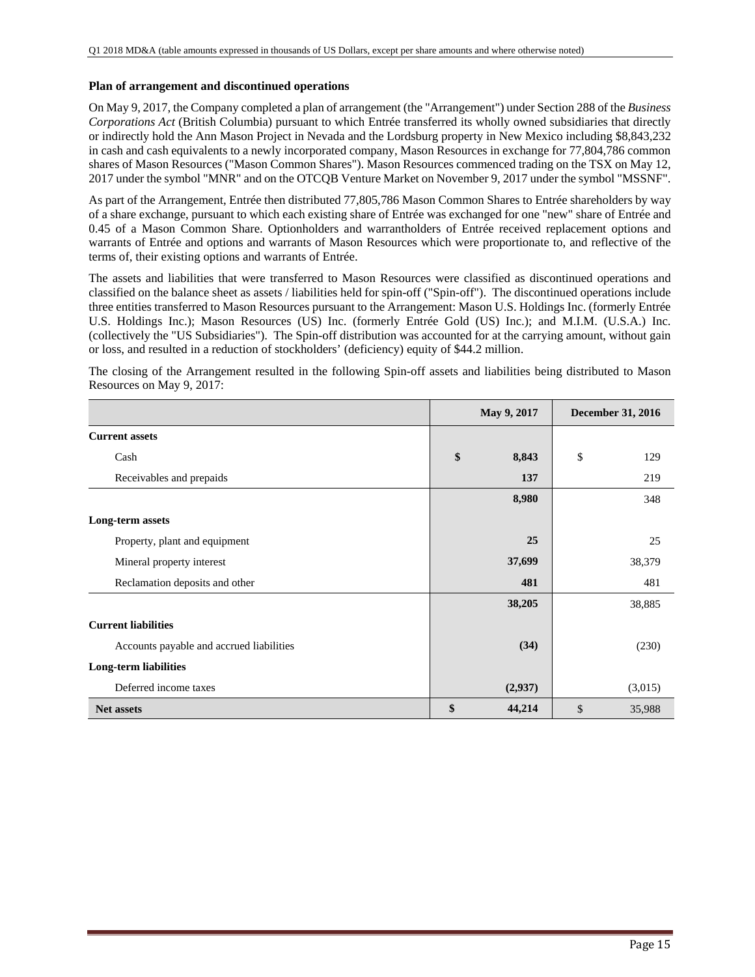#### **Plan of arrangement and discontinued operations**

On May 9, 2017, the Company completed a plan of arrangement (the "Arrangement") under Section 288 of the *Business Corporations Act* (British Columbia) pursuant to which Entrée transferred its wholly owned subsidiaries that directly or indirectly hold the Ann Mason Project in Nevada and the Lordsburg property in New Mexico including \$8,843,232 in cash and cash equivalents to a newly incorporated company, Mason Resources in exchange for 77,804,786 common shares of Mason Resources ("Mason Common Shares"). Mason Resources commenced trading on the TSX on May 12, 2017 under the symbol "MNR" and on the OTCQB Venture Market on November 9, 2017 under the symbol "MSSNF".

As part of the Arrangement, Entrée then distributed 77,805,786 Mason Common Shares to Entrée shareholders by way of a share exchange, pursuant to which each existing share of Entrée was exchanged for one "new" share of Entrée and 0.45 of a Mason Common Share. Optionholders and warrantholders of Entrée received replacement options and warrants of Entrée and options and warrants of Mason Resources which were proportionate to, and reflective of the terms of, their existing options and warrants of Entrée.

The assets and liabilities that were transferred to Mason Resources were classified as discontinued operations and classified on the balance sheet as assets / liabilities held for spin-off ("Spin-off"). The discontinued operations include three entities transferred to Mason Resources pursuant to the Arrangement: Mason U.S. Holdings Inc. (formerly Entrée U.S. Holdings Inc.); Mason Resources (US) Inc. (formerly Entrée Gold (US) Inc.); and M.I.M. (U.S.A.) Inc. (collectively the "US Subsidiaries"). The Spin-off distribution was accounted for at the carrying amount, without gain or loss, and resulted in a reduction of stockholders' (deficiency) equity of \$44.2 million.

The closing of the Arrangement resulted in the following Spin-off assets and liabilities being distributed to Mason Resources on May 9, 2017:

|                                          | May 9, 2017  | <b>December 31, 2016</b> |
|------------------------------------------|--------------|--------------------------|
| <b>Current assets</b>                    |              |                          |
| Cash                                     | \$<br>8,843  | \$<br>129                |
| Receivables and prepaids                 | 137          | 219                      |
|                                          | 8,980        | 348                      |
| Long-term assets                         |              |                          |
| Property, plant and equipment            | 25           | 25                       |
| Mineral property interest                | 37,699       | 38,379                   |
| Reclamation deposits and other           | 481          | 481                      |
|                                          | 38,205       | 38,885                   |
| <b>Current liabilities</b>               |              |                          |
| Accounts payable and accrued liabilities | (34)         | (230)                    |
| <b>Long-term liabilities</b>             |              |                          |
| Deferred income taxes                    | (2,937)      | (3,015)                  |
| <b>Net assets</b>                        | \$<br>44,214 | \$<br>35,988             |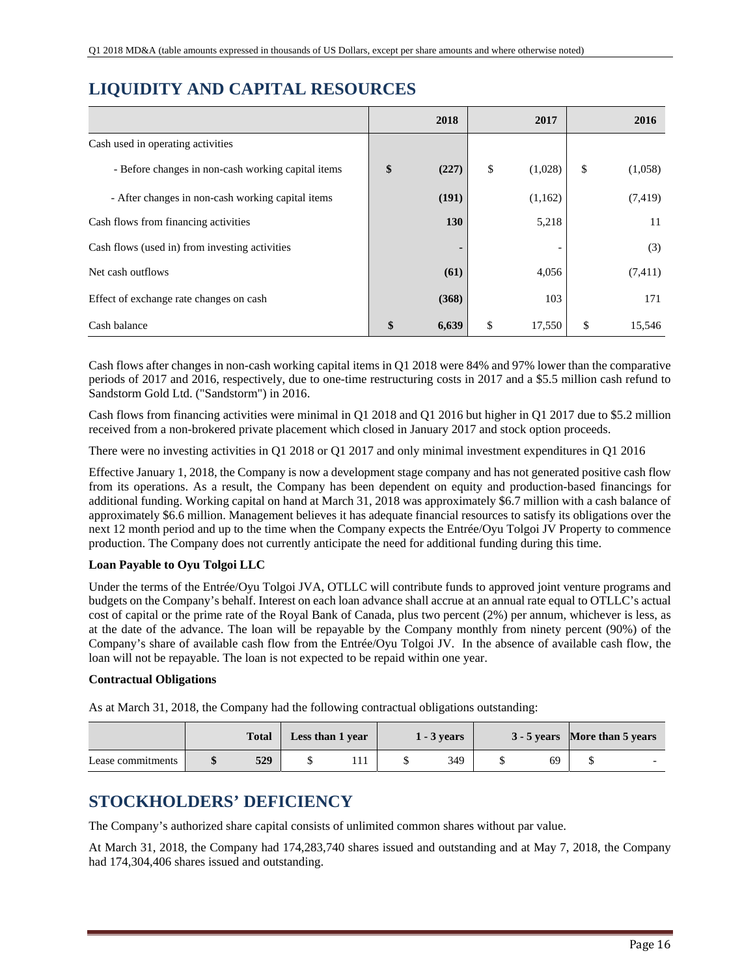# **LIQUIDITY AND CAPITAL RESOURCES**

|                                                    | 2018        | 2017                     | 2016          |
|----------------------------------------------------|-------------|--------------------------|---------------|
| Cash used in operating activities                  |             |                          |               |
| - Before changes in non-cash working capital items | \$<br>(227) | \$<br>(1,028)            | \$<br>(1,058) |
| - After changes in non-cash working capital items  | (191)       | (1,162)                  | (7, 419)      |
| Cash flows from financing activities               | 130         | 5,218                    | 11            |
| Cash flows (used in) from investing activities     |             | $\overline{\phantom{0}}$ | (3)           |
| Net cash outflows                                  | (61)        | 4,056                    | (7,411)       |
| Effect of exchange rate changes on cash            | (368)       | 103                      | 171           |
| Cash balance                                       | \$<br>6,639 | \$<br>17,550             | \$<br>15,546  |

Cash flows after changes in non-cash working capital items in Q1 2018 were 84% and 97% lower than the comparative periods of 2017 and 2016, respectively, due to one-time restructuring costs in 2017 and a \$5.5 million cash refund to Sandstorm Gold Ltd. ("Sandstorm") in 2016.

Cash flows from financing activities were minimal in Q1 2018 and Q1 2016 but higher in Q1 2017 due to \$5.2 million received from a non-brokered private placement which closed in January 2017 and stock option proceeds.

There were no investing activities in Q1 2018 or Q1 2017 and only minimal investment expenditures in Q1 2016

Effective January 1, 2018, the Company is now a development stage company and has not generated positive cash flow from its operations. As a result, the Company has been dependent on equity and production-based financings for additional funding. Working capital on hand at March 31, 2018 was approximately \$6.7 million with a cash balance of approximately \$6.6 million. Management believes it has adequate financial resources to satisfy its obligations over the next 12 month period and up to the time when the Company expects the Entrée/Oyu Tolgoi JV Property to commence production. The Company does not currently anticipate the need for additional funding during this time.

## **Loan Payable to Oyu Tolgoi LLC**

Under the terms of the Entrée/Oyu Tolgoi JVA, OTLLC will contribute funds to approved joint venture programs and budgets on the Company's behalf. Interest on each loan advance shall accrue at an annual rate equal to OTLLC's actual cost of capital or the prime rate of the Royal Bank of Canada, plus two percent (2%) per annum, whichever is less, as at the date of the advance. The loan will be repayable by the Company monthly from ninety percent (90%) of the Company's share of available cash flow from the Entrée/Oyu Tolgoi JV. In the absence of available cash flow, the loan will not be repayable. The loan is not expected to be repaid within one year.

## **Contractual Obligations**

As at March 31, 2018, the Company had the following contractual obligations outstanding:

|                   | <b>Total</b> | Less than 1 year |  | 1 - 3 vears |    | 3 - 5 years More than 5 years |  |
|-------------------|--------------|------------------|--|-------------|----|-------------------------------|--|
| Lease commitments | 529          |                  |  | 349         | 69 |                               |  |

# **STOCKHOLDERS' DEFICIENCY**

The Company's authorized share capital consists of unlimited common shares without par value.

At March 31, 2018, the Company had 174,283,740 shares issued and outstanding and at May 7, 2018, the Company had 174,304,406 shares issued and outstanding.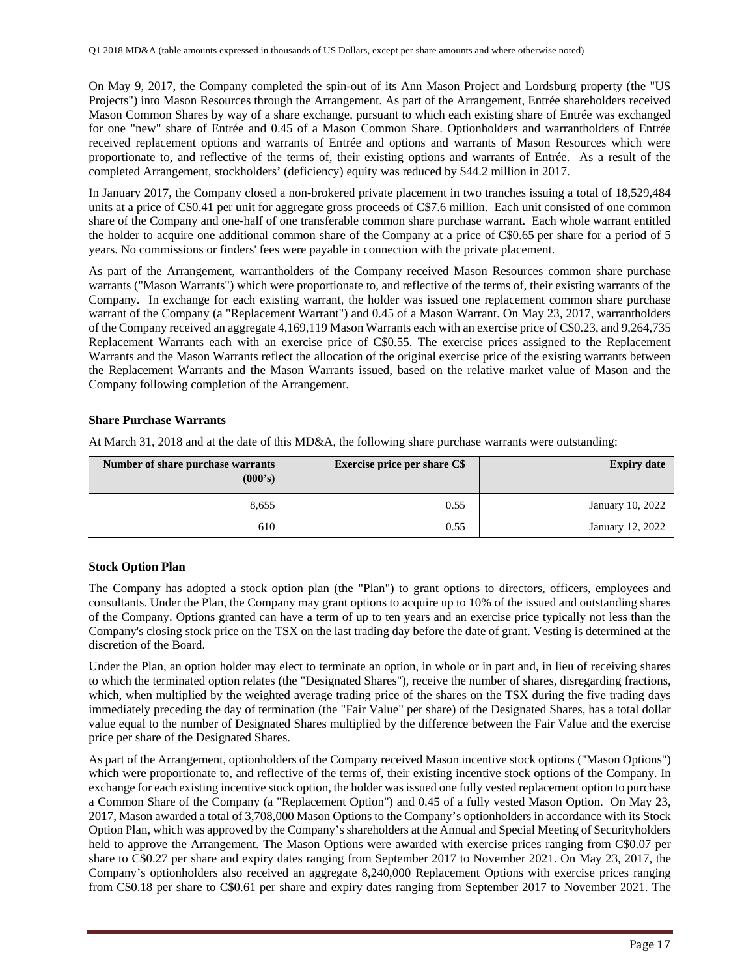On May 9, 2017, the Company completed the spin-out of its Ann Mason Project and Lordsburg property (the "US Projects") into Mason Resources through the Arrangement. As part of the Arrangement, Entrée shareholders received Mason Common Shares by way of a share exchange, pursuant to which each existing share of Entrée was exchanged for one "new" share of Entrée and 0.45 of a Mason Common Share. Optionholders and warrantholders of Entrée received replacement options and warrants of Entrée and options and warrants of Mason Resources which were proportionate to, and reflective of the terms of, their existing options and warrants of Entrée. As a result of the completed Arrangement, stockholders' (deficiency) equity was reduced by \$44.2 million in 2017.

In January 2017, the Company closed a non-brokered private placement in two tranches issuing a total of 18,529,484 units at a price of C\$0.41 per unit for aggregate gross proceeds of C\$7.6 million. Each unit consisted of one common share of the Company and one-half of one transferable common share purchase warrant. Each whole warrant entitled the holder to acquire one additional common share of the Company at a price of C\$0.65 per share for a period of 5 years. No commissions or finders' fees were payable in connection with the private placement.

As part of the Arrangement, warrantholders of the Company received Mason Resources common share purchase warrants ("Mason Warrants") which were proportionate to, and reflective of the terms of, their existing warrants of the Company. In exchange for each existing warrant, the holder was issued one replacement common share purchase warrant of the Company (a "Replacement Warrant") and 0.45 of a Mason Warrant. On May 23, 2017, warrantholders of the Company received an aggregate 4,169,119 Mason Warrants each with an exercise price of C\$0.23, and 9,264,735 Replacement Warrants each with an exercise price of C\$0.55. The exercise prices assigned to the Replacement Warrants and the Mason Warrants reflect the allocation of the original exercise price of the existing warrants between the Replacement Warrants and the Mason Warrants issued, based on the relative market value of Mason and the Company following completion of the Arrangement.

## **Share Purchase Warrants**

At March 31, 2018 and at the date of this MD&A, the following share purchase warrants were outstanding:

| Number of share purchase warrants<br>(000's) | <b>Exercise price per share C\$</b> | <b>Expiry date</b> |
|----------------------------------------------|-------------------------------------|--------------------|
| 8,655                                        | 0.55                                | January 10, 2022   |
| 610                                          | 0.55                                | January 12, 2022   |

## **Stock Option Plan**

The Company has adopted a stock option plan (the "Plan") to grant options to directors, officers, employees and consultants. Under the Plan, the Company may grant options to acquire up to 10% of the issued and outstanding shares of the Company. Options granted can have a term of up to ten years and an exercise price typically not less than the Company's closing stock price on the TSX on the last trading day before the date of grant. Vesting is determined at the discretion of the Board.

Under the Plan, an option holder may elect to terminate an option, in whole or in part and, in lieu of receiving shares to which the terminated option relates (the "Designated Shares"), receive the number of shares, disregarding fractions, which, when multiplied by the weighted average trading price of the shares on the TSX during the five trading days immediately preceding the day of termination (the "Fair Value" per share) of the Designated Shares, has a total dollar value equal to the number of Designated Shares multiplied by the difference between the Fair Value and the exercise price per share of the Designated Shares.

As part of the Arrangement, optionholders of the Company received Mason incentive stock options ("Mason Options") which were proportionate to, and reflective of the terms of, their existing incentive stock options of the Company. In exchange for each existing incentive stock option, the holder was issued one fully vested replacement option to purchase a Common Share of the Company (a "Replacement Option") and 0.45 of a fully vested Mason Option. On May 23, 2017, Mason awarded a total of 3,708,000 Mason Options to the Company's optionholders in accordance with its Stock Option Plan, which was approved by the Company's shareholders at the Annual and Special Meeting of Securityholders held to approve the Arrangement. The Mason Options were awarded with exercise prices ranging from C\$0.07 per share to C\$0.27 per share and expiry dates ranging from September 2017 to November 2021. On May 23, 2017, the Company's optionholders also received an aggregate 8,240,000 Replacement Options with exercise prices ranging from C\$0.18 per share to C\$0.61 per share and expiry dates ranging from September 2017 to November 2021. The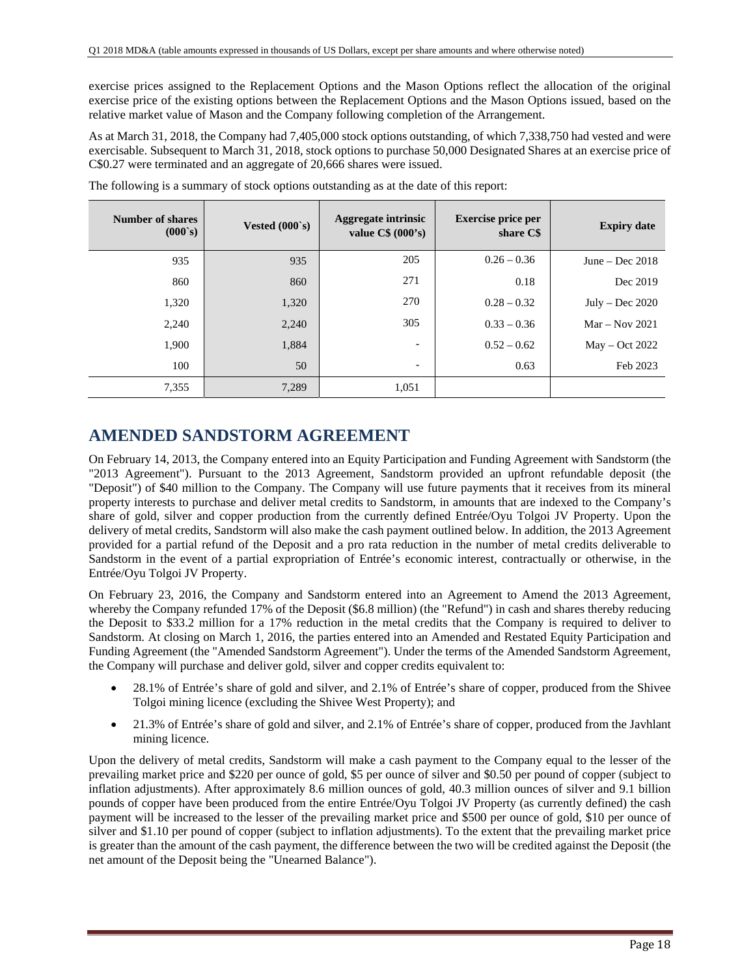exercise prices assigned to the Replacement Options and the Mason Options reflect the allocation of the original exercise price of the existing options between the Replacement Options and the Mason Options issued, based on the relative market value of Mason and the Company following completion of the Arrangement.

As at March 31, 2018, the Company had 7,405,000 stock options outstanding, of which 7,338,750 had vested and were exercisable. Subsequent to March 31, 2018, stock options to purchase 50,000 Designated Shares at an exercise price of C\$0.27 were terminated and an aggregate of 20,666 shares were issued.

| <b>Number of shares</b><br>(000s) | Vested $(000 \text{ s})$ | <b>Aggregate intrinsic</b><br>value $C\$ (000's) | <b>Exercise price per</b><br>share C\$ | <b>Expiry date</b> |
|-----------------------------------|--------------------------|--------------------------------------------------|----------------------------------------|--------------------|
| 935                               | 935                      | 205                                              | $0.26 - 0.36$                          | June – Dec $2018$  |
| 860                               | 860                      | 271                                              | 0.18                                   | Dec 2019           |
| 1,320                             | 1,320                    | 270                                              | $0.28 - 0.32$                          | July – Dec $2020$  |
| 2,240                             | 2,240                    | 305                                              | $0.33 - 0.36$                          | $Mar - Nov 2021$   |
| 1,900                             | 1,884                    | $\overline{\phantom{a}}$                         | $0.52 - 0.62$                          | $May - Oct 2022$   |
| 100                               | 50                       | $\overline{\phantom{a}}$                         | 0.63                                   | Feb 2023           |
| 7,355                             | 7,289                    | 1,051                                            |                                        |                    |

The following is a summary of stock options outstanding as at the date of this report:

# **AMENDED SANDSTORM AGREEMENT**

On February 14, 2013, the Company entered into an Equity Participation and Funding Agreement with Sandstorm (the "2013 Agreement"). Pursuant to the 2013 Agreement, Sandstorm provided an upfront refundable deposit (the "Deposit") of \$40 million to the Company. The Company will use future payments that it receives from its mineral property interests to purchase and deliver metal credits to Sandstorm, in amounts that are indexed to the Company's share of gold, silver and copper production from the currently defined Entrée/Oyu Tolgoi JV Property. Upon the delivery of metal credits, Sandstorm will also make the cash payment outlined below. In addition, the 2013 Agreement provided for a partial refund of the Deposit and a pro rata reduction in the number of metal credits deliverable to Sandstorm in the event of a partial expropriation of Entrée's economic interest, contractually or otherwise, in the Entrée/Oyu Tolgoi JV Property.

On February 23, 2016, the Company and Sandstorm entered into an Agreement to Amend the 2013 Agreement, whereby the Company refunded 17% of the Deposit (\$6.8 million) (the "Refund") in cash and shares thereby reducing the Deposit to \$33.2 million for a 17% reduction in the metal credits that the Company is required to deliver to Sandstorm. At closing on March 1, 2016, the parties entered into an Amended and Restated Equity Participation and Funding Agreement (the "Amended Sandstorm Agreement"). Under the terms of the Amended Sandstorm Agreement, the Company will purchase and deliver gold, silver and copper credits equivalent to:

- 28.1% of Entrée's share of gold and silver, and 2.1% of Entrée's share of copper, produced from the Shivee Tolgoi mining licence (excluding the Shivee West Property); and
- 21.3% of Entrée's share of gold and silver, and 2.1% of Entrée's share of copper, produced from the Javhlant mining licence.

Upon the delivery of metal credits, Sandstorm will make a cash payment to the Company equal to the lesser of the prevailing market price and \$220 per ounce of gold, \$5 per ounce of silver and \$0.50 per pound of copper (subject to inflation adjustments). After approximately 8.6 million ounces of gold, 40.3 million ounces of silver and 9.1 billion pounds of copper have been produced from the entire Entrée/Oyu Tolgoi JV Property (as currently defined) the cash payment will be increased to the lesser of the prevailing market price and \$500 per ounce of gold, \$10 per ounce of silver and \$1.10 per pound of copper (subject to inflation adjustments). To the extent that the prevailing market price is greater than the amount of the cash payment, the difference between the two will be credited against the Deposit (the net amount of the Deposit being the "Unearned Balance").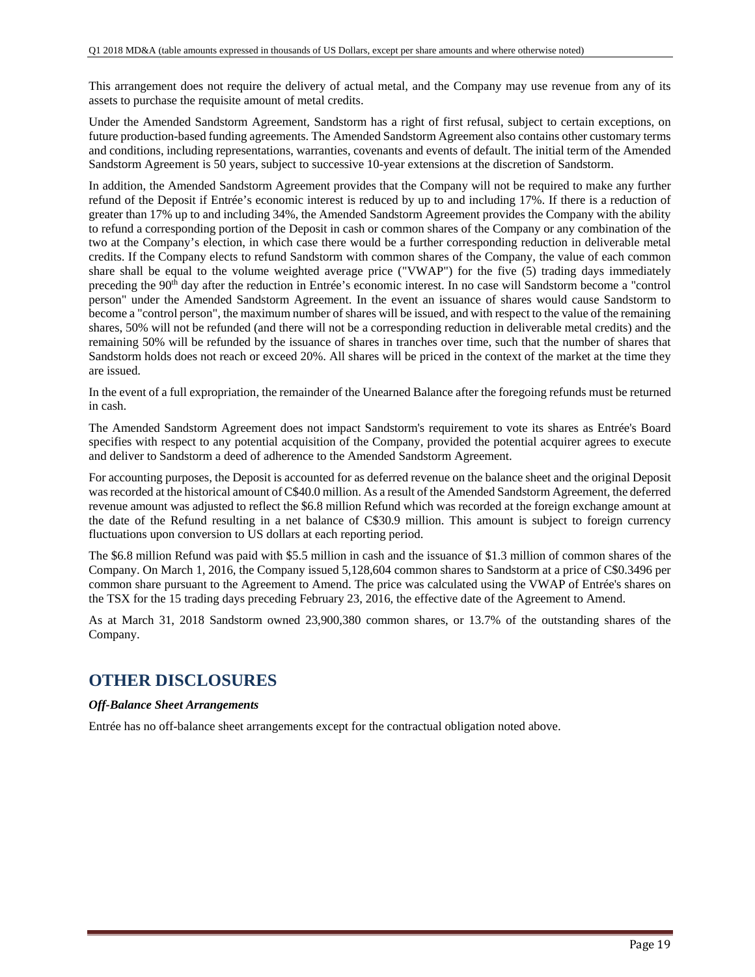This arrangement does not require the delivery of actual metal, and the Company may use revenue from any of its assets to purchase the requisite amount of metal credits.

Under the Amended Sandstorm Agreement, Sandstorm has a right of first refusal, subject to certain exceptions, on future production-based funding agreements. The Amended Sandstorm Agreement also contains other customary terms and conditions, including representations, warranties, covenants and events of default. The initial term of the Amended Sandstorm Agreement is 50 years, subject to successive 10-year extensions at the discretion of Sandstorm.

In addition, the Amended Sandstorm Agreement provides that the Company will not be required to make any further refund of the Deposit if Entrée's economic interest is reduced by up to and including 17%. If there is a reduction of greater than 17% up to and including 34%, the Amended Sandstorm Agreement provides the Company with the ability to refund a corresponding portion of the Deposit in cash or common shares of the Company or any combination of the two at the Company's election, in which case there would be a further corresponding reduction in deliverable metal credits. If the Company elects to refund Sandstorm with common shares of the Company, the value of each common share shall be equal to the volume weighted average price ("VWAP") for the five (5) trading days immediately preceding the 90<sup>th</sup> day after the reduction in Entrée's economic interest. In no case will Sandstorm become a "control person" under the Amended Sandstorm Agreement. In the event an issuance of shares would cause Sandstorm to become a "control person", the maximum number of shares will be issued, and with respect to the value of the remaining shares, 50% will not be refunded (and there will not be a corresponding reduction in deliverable metal credits) and the remaining 50% will be refunded by the issuance of shares in tranches over time, such that the number of shares that Sandstorm holds does not reach or exceed 20%. All shares will be priced in the context of the market at the time they are issued.

In the event of a full expropriation, the remainder of the Unearned Balance after the foregoing refunds must be returned in cash.

The Amended Sandstorm Agreement does not impact Sandstorm's requirement to vote its shares as Entrée's Board specifies with respect to any potential acquisition of the Company, provided the potential acquirer agrees to execute and deliver to Sandstorm a deed of adherence to the Amended Sandstorm Agreement.

For accounting purposes, the Deposit is accounted for as deferred revenue on the balance sheet and the original Deposit was recorded at the historical amount of C\$40.0 million. As a result of the Amended Sandstorm Agreement, the deferred revenue amount was adjusted to reflect the \$6.8 million Refund which was recorded at the foreign exchange amount at the date of the Refund resulting in a net balance of C\$30.9 million. This amount is subject to foreign currency fluctuations upon conversion to US dollars at each reporting period.

The \$6.8 million Refund was paid with \$5.5 million in cash and the issuance of \$1.3 million of common shares of the Company. On March 1, 2016, the Company issued 5,128,604 common shares to Sandstorm at a price of C\$0.3496 per common share pursuant to the Agreement to Amend. The price was calculated using the VWAP of Entrée's shares on the TSX for the 15 trading days preceding February 23, 2016, the effective date of the Agreement to Amend.

As at March 31, 2018 Sandstorm owned 23,900,380 common shares, or 13.7% of the outstanding shares of the Company.

# **OTHER DISCLOSURES**

## *Off-Balance Sheet Arrangements*

Entrée has no off-balance sheet arrangements except for the contractual obligation noted above.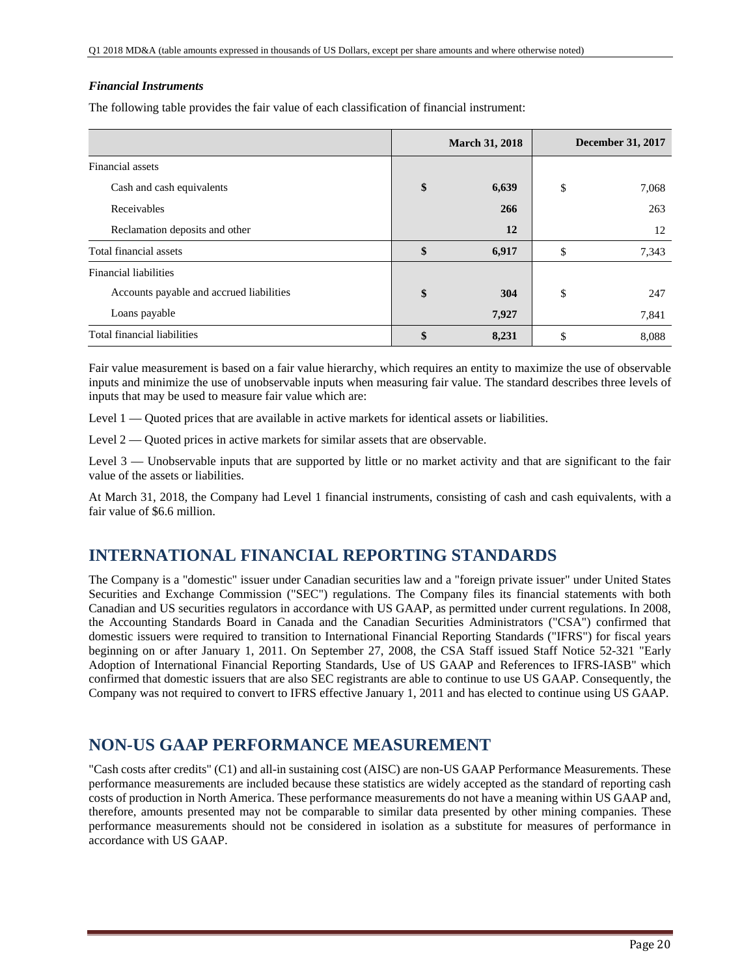## *Financial Instruments*

The following table provides the fair value of each classification of financial instrument:

|                                          | <b>March 31, 2018</b> |       | <b>December 31, 2017</b> |       |
|------------------------------------------|-----------------------|-------|--------------------------|-------|
| Financial assets                         |                       |       |                          |       |
| Cash and cash equivalents                | \$                    | 6,639 | \$                       | 7,068 |
| Receivables                              |                       | 266   |                          | 263   |
| Reclamation deposits and other           |                       | 12    |                          | 12    |
| Total financial assets                   | \$                    | 6,917 | \$                       | 7,343 |
| <b>Financial liabilities</b>             |                       |       |                          |       |
| Accounts payable and accrued liabilities | \$                    | 304   | \$                       | 247   |
| Loans payable                            |                       | 7,927 |                          | 7,841 |
| Total financial liabilities              | \$                    | 8,231 | \$                       | 8,088 |

Fair value measurement is based on a fair value hierarchy, which requires an entity to maximize the use of observable inputs and minimize the use of unobservable inputs when measuring fair value. The standard describes three levels of inputs that may be used to measure fair value which are:

Level 1 — Quoted prices that are available in active markets for identical assets or liabilities.

Level  $2 -$  Quoted prices in active markets for similar assets that are observable.

Level 3 — Unobservable inputs that are supported by little or no market activity and that are significant to the fair value of the assets or liabilities.

At March 31, 2018, the Company had Level 1 financial instruments, consisting of cash and cash equivalents, with a fair value of \$6.6 million.

## **INTERNATIONAL FINANCIAL REPORTING STANDARDS**

The Company is a "domestic" issuer under Canadian securities law and a "foreign private issuer" under United States Securities and Exchange Commission ("SEC") regulations. The Company files its financial statements with both Canadian and US securities regulators in accordance with US GAAP, as permitted under current regulations. In 2008, the Accounting Standards Board in Canada and the Canadian Securities Administrators ("CSA") confirmed that domestic issuers were required to transition to International Financial Reporting Standards ("IFRS") for fiscal years beginning on or after January 1, 2011. On September 27, 2008, the CSA Staff issued Staff Notice 52-321 "Early Adoption of International Financial Reporting Standards, Use of US GAAP and References to IFRS-IASB" which confirmed that domestic issuers that are also SEC registrants are able to continue to use US GAAP. Consequently, the Company was not required to convert to IFRS effective January 1, 2011 and has elected to continue using US GAAP.

# **NON-US GAAP PERFORMANCE MEASUREMENT**

"Cash costs after credits" (C1) and all-in sustaining cost (AISC) are non-US GAAP Performance Measurements. These performance measurements are included because these statistics are widely accepted as the standard of reporting cash costs of production in North America. These performance measurements do not have a meaning within US GAAP and, therefore, amounts presented may not be comparable to similar data presented by other mining companies. These performance measurements should not be considered in isolation as a substitute for measures of performance in accordance with US GAAP.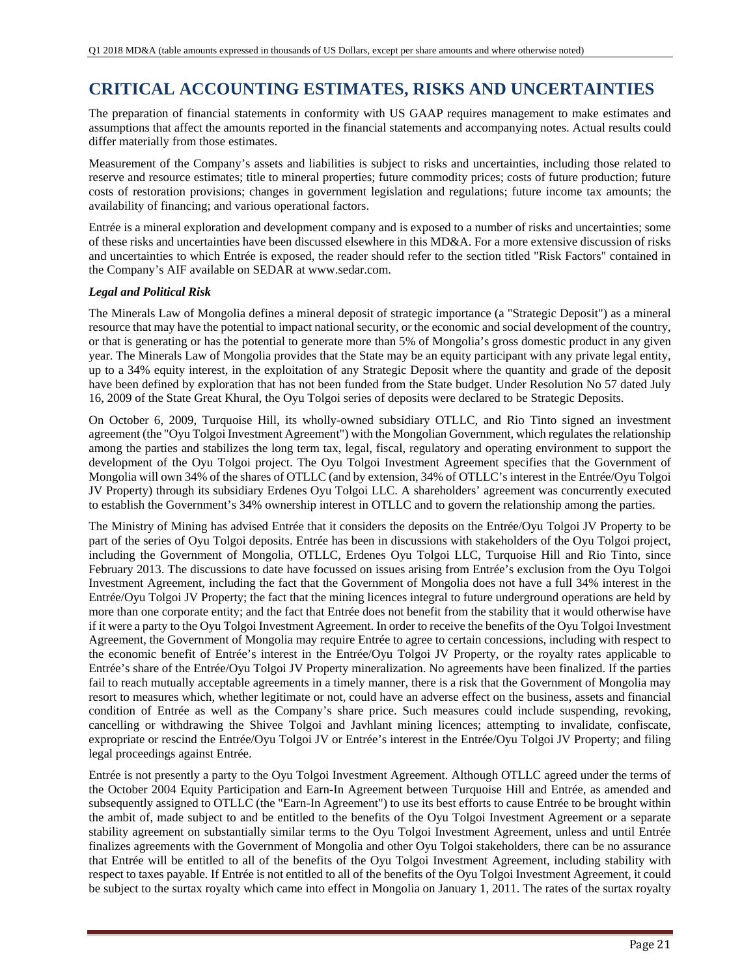# **CRITICAL ACCOUNTING ESTIMATES, RISKS AND UNCERTAINTIES**

The preparation of financial statements in conformity with US GAAP requires management to make estimates and assumptions that affect the amounts reported in the financial statements and accompanying notes. Actual results could differ materially from those estimates.

Measurement of the Company's assets and liabilities is subject to risks and uncertainties, including those related to reserve and resource estimates; title to mineral properties; future commodity prices; costs of future production; future costs of restoration provisions; changes in government legislation and regulations; future income tax amounts; the availability of financing; and various operational factors.

Entrée is a mineral exploration and development company and is exposed to a number of risks and uncertainties; some of these risks and uncertainties have been discussed elsewhere in this MD&A. For a more extensive discussion of risks and uncertainties to which Entrée is exposed, the reader should refer to the section titled "Risk Factors" contained in the Company's AIF available on SEDAR at www.sedar.com.

## *Legal and Political Risk*

The Minerals Law of Mongolia defines a mineral deposit of strategic importance (a "Strategic Deposit") as a mineral resource that may have the potential to impact national security, or the economic and social development of the country, or that is generating or has the potential to generate more than 5% of Mongolia's gross domestic product in any given year. The Minerals Law of Mongolia provides that the State may be an equity participant with any private legal entity, up to a 34% equity interest, in the exploitation of any Strategic Deposit where the quantity and grade of the deposit have been defined by exploration that has not been funded from the State budget. Under Resolution No 57 dated July 16, 2009 of the State Great Khural, the Oyu Tolgoi series of deposits were declared to be Strategic Deposits.

On October 6, 2009, Turquoise Hill, its wholly-owned subsidiary OTLLC, and Rio Tinto signed an investment agreement (the "Oyu Tolgoi Investment Agreement") with the Mongolian Government, which regulates the relationship among the parties and stabilizes the long term tax, legal, fiscal, regulatory and operating environment to support the development of the Oyu Tolgoi project. The Oyu Tolgoi Investment Agreement specifies that the Government of Mongolia will own 34% of the shares of OTLLC (and by extension, 34% of OTLLC's interest in the Entrée/Oyu Tolgoi JV Property) through its subsidiary Erdenes Oyu Tolgoi LLC. A shareholders' agreement was concurrently executed to establish the Government's 34% ownership interest in OTLLC and to govern the relationship among the parties.

The Ministry of Mining has advised Entrée that it considers the deposits on the Entrée/Oyu Tolgoi JV Property to be part of the series of Oyu Tolgoi deposits. Entrée has been in discussions with stakeholders of the Oyu Tolgoi project, including the Government of Mongolia, OTLLC, Erdenes Oyu Tolgoi LLC, Turquoise Hill and Rio Tinto, since February 2013. The discussions to date have focussed on issues arising from Entrée's exclusion from the Oyu Tolgoi Investment Agreement, including the fact that the Government of Mongolia does not have a full 34% interest in the Entrée/Oyu Tolgoi JV Property; the fact that the mining licences integral to future underground operations are held by more than one corporate entity; and the fact that Entrée does not benefit from the stability that it would otherwise have if it were a party to the Oyu Tolgoi Investment Agreement. In order to receive the benefits of the Oyu Tolgoi Investment Agreement, the Government of Mongolia may require Entrée to agree to certain concessions, including with respect to the economic benefit of Entrée's interest in the Entrée/Oyu Tolgoi JV Property, or the royalty rates applicable to Entrée's share of the Entrée/Oyu Tolgoi JV Property mineralization. No agreements have been finalized. If the parties fail to reach mutually acceptable agreements in a timely manner, there is a risk that the Government of Mongolia may resort to measures which, whether legitimate or not, could have an adverse effect on the business, assets and financial condition of Entrée as well as the Company's share price. Such measures could include suspending, revoking, cancelling or withdrawing the Shivee Tolgoi and Javhlant mining licences; attempting to invalidate, confiscate, expropriate or rescind the Entrée/Oyu Tolgoi JV or Entrée's interest in the Entrée/Oyu Tolgoi JV Property; and filing legal proceedings against Entrée.

Entrée is not presently a party to the Oyu Tolgoi Investment Agreement. Although OTLLC agreed under the terms of the October 2004 Equity Participation and Earn-In Agreement between Turquoise Hill and Entrée, as amended and subsequently assigned to OTLLC (the "Earn-In Agreement") to use its best efforts to cause Entrée to be brought within the ambit of, made subject to and be entitled to the benefits of the Oyu Tolgoi Investment Agreement or a separate stability agreement on substantially similar terms to the Oyu Tolgoi Investment Agreement, unless and until Entrée finalizes agreements with the Government of Mongolia and other Oyu Tolgoi stakeholders, there can be no assurance that Entrée will be entitled to all of the benefits of the Oyu Tolgoi Investment Agreement, including stability with respect to taxes payable. If Entrée is not entitled to all of the benefits of the Oyu Tolgoi Investment Agreement, it could be subject to the surtax royalty which came into effect in Mongolia on January 1, 2011. The rates of the surtax royalty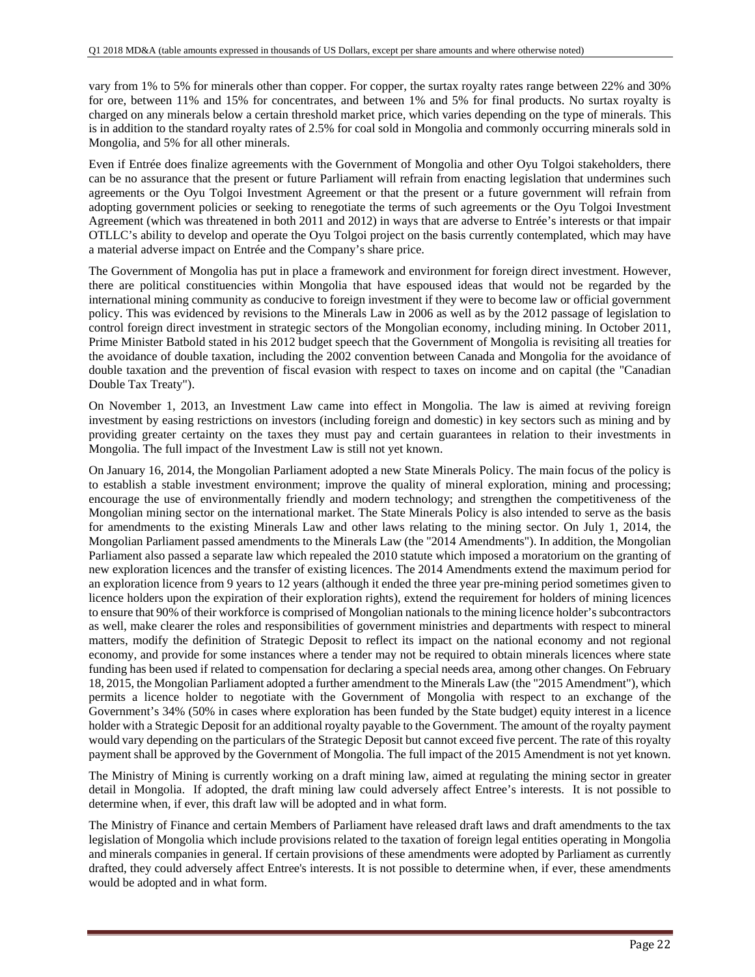vary from 1% to 5% for minerals other than copper. For copper, the surtax royalty rates range between 22% and 30% for ore, between 11% and 15% for concentrates, and between 1% and 5% for final products. No surtax royalty is charged on any minerals below a certain threshold market price, which varies depending on the type of minerals. This is in addition to the standard royalty rates of 2.5% for coal sold in Mongolia and commonly occurring minerals sold in Mongolia, and 5% for all other minerals.

Even if Entrée does finalize agreements with the Government of Mongolia and other Oyu Tolgoi stakeholders, there can be no assurance that the present or future Parliament will refrain from enacting legislation that undermines such agreements or the Oyu Tolgoi Investment Agreement or that the present or a future government will refrain from adopting government policies or seeking to renegotiate the terms of such agreements or the Oyu Tolgoi Investment Agreement (which was threatened in both 2011 and 2012) in ways that are adverse to Entrée's interests or that impair OTLLC's ability to develop and operate the Oyu Tolgoi project on the basis currently contemplated, which may have a material adverse impact on Entrée and the Company's share price.

The Government of Mongolia has put in place a framework and environment for foreign direct investment. However, there are political constituencies within Mongolia that have espoused ideas that would not be regarded by the international mining community as conducive to foreign investment if they were to become law or official government policy. This was evidenced by revisions to the Minerals Law in 2006 as well as by the 2012 passage of legislation to control foreign direct investment in strategic sectors of the Mongolian economy, including mining. In October 2011, Prime Minister Batbold stated in his 2012 budget speech that the Government of Mongolia is revisiting all treaties for the avoidance of double taxation, including the 2002 convention between Canada and Mongolia for the avoidance of double taxation and the prevention of fiscal evasion with respect to taxes on income and on capital (the "Canadian Double Tax Treaty").

On November 1, 2013, an Investment Law came into effect in Mongolia. The law is aimed at reviving foreign investment by easing restrictions on investors (including foreign and domestic) in key sectors such as mining and by providing greater certainty on the taxes they must pay and certain guarantees in relation to their investments in Mongolia. The full impact of the Investment Law is still not yet known.

On January 16, 2014, the Mongolian Parliament adopted a new State Minerals Policy. The main focus of the policy is to establish a stable investment environment; improve the quality of mineral exploration, mining and processing; encourage the use of environmentally friendly and modern technology; and strengthen the competitiveness of the Mongolian mining sector on the international market. The State Minerals Policy is also intended to serve as the basis for amendments to the existing Minerals Law and other laws relating to the mining sector. On July 1, 2014, the Mongolian Parliament passed amendments to the Minerals Law (the "2014 Amendments"). In addition, the Mongolian Parliament also passed a separate law which repealed the 2010 statute which imposed a moratorium on the granting of new exploration licences and the transfer of existing licences. The 2014 Amendments extend the maximum period for an exploration licence from 9 years to 12 years (although it ended the three year pre-mining period sometimes given to licence holders upon the expiration of their exploration rights), extend the requirement for holders of mining licences to ensure that 90% of their workforce is comprised of Mongolian nationals to the mining licence holder's subcontractors as well, make clearer the roles and responsibilities of government ministries and departments with respect to mineral matters, modify the definition of Strategic Deposit to reflect its impact on the national economy and not regional economy, and provide for some instances where a tender may not be required to obtain minerals licences where state funding has been used if related to compensation for declaring a special needs area, among other changes. On February 18, 2015, the Mongolian Parliament adopted a further amendment to the Minerals Law (the "2015 Amendment"), which permits a licence holder to negotiate with the Government of Mongolia with respect to an exchange of the Government's 34% (50% in cases where exploration has been funded by the State budget) equity interest in a licence holder with a Strategic Deposit for an additional royalty payable to the Government. The amount of the royalty payment would vary depending on the particulars of the Strategic Deposit but cannot exceed five percent. The rate of this royalty payment shall be approved by the Government of Mongolia. The full impact of the 2015 Amendment is not yet known.

The Ministry of Mining is currently working on a draft mining law, aimed at regulating the mining sector in greater detail in Mongolia. If adopted, the draft mining law could adversely affect Entree's interests. It is not possible to determine when, if ever, this draft law will be adopted and in what form.

The Ministry of Finance and certain Members of Parliament have released draft laws and draft amendments to the tax legislation of Mongolia which include provisions related to the taxation of foreign legal entities operating in Mongolia and minerals companies in general. If certain provisions of these amendments were adopted by Parliament as currently drafted, they could adversely affect Entree's interests. It is not possible to determine when, if ever, these amendments would be adopted and in what form.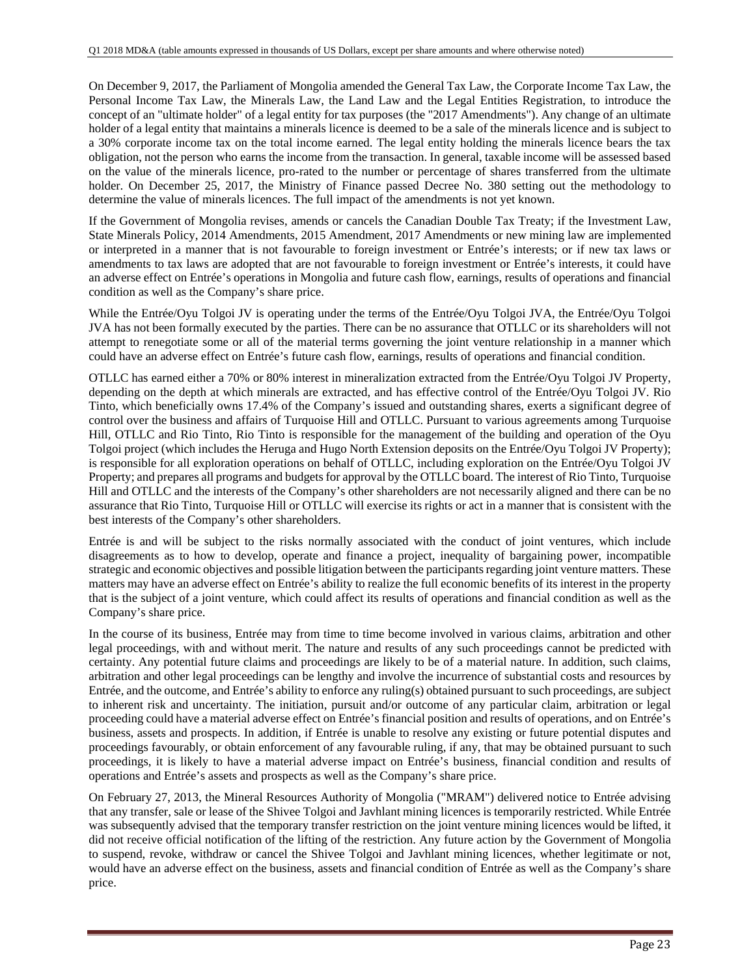On December 9, 2017, the Parliament of Mongolia amended the General Tax Law, the Corporate Income Tax Law, the Personal Income Tax Law, the Minerals Law, the Land Law and the Legal Entities Registration, to introduce the concept of an "ultimate holder" of a legal entity for tax purposes (the "2017 Amendments"). Any change of an ultimate holder of a legal entity that maintains a minerals licence is deemed to be a sale of the minerals licence and is subject to a 30% corporate income tax on the total income earned. The legal entity holding the minerals licence bears the tax obligation, not the person who earns the income from the transaction. In general, taxable income will be assessed based on the value of the minerals licence, pro-rated to the number or percentage of shares transferred from the ultimate holder. On December 25, 2017, the Ministry of Finance passed Decree No. 380 setting out the methodology to determine the value of minerals licences. The full impact of the amendments is not yet known.

If the Government of Mongolia revises, amends or cancels the Canadian Double Tax Treaty; if the Investment Law, State Minerals Policy, 2014 Amendments, 2015 Amendment, 2017 Amendments or new mining law are implemented or interpreted in a manner that is not favourable to foreign investment or Entrée's interests; or if new tax laws or amendments to tax laws are adopted that are not favourable to foreign investment or Entrée's interests, it could have an adverse effect on Entrée's operations in Mongolia and future cash flow, earnings, results of operations and financial condition as well as the Company's share price.

While the Entrée/Oyu Tolgoi JV is operating under the terms of the Entrée/Oyu Tolgoi JVA, the Entrée/Oyu Tolgoi JVA has not been formally executed by the parties. There can be no assurance that OTLLC or its shareholders will not attempt to renegotiate some or all of the material terms governing the joint venture relationship in a manner which could have an adverse effect on Entrée's future cash flow, earnings, results of operations and financial condition.

OTLLC has earned either a 70% or 80% interest in mineralization extracted from the Entrée/Oyu Tolgoi JV Property, depending on the depth at which minerals are extracted, and has effective control of the Entrée/Oyu Tolgoi JV. Rio Tinto, which beneficially owns 17.4% of the Company's issued and outstanding shares, exerts a significant degree of control over the business and affairs of Turquoise Hill and OTLLC. Pursuant to various agreements among Turquoise Hill, OTLLC and Rio Tinto, Rio Tinto is responsible for the management of the building and operation of the Oyu Tolgoi project (which includes the Heruga and Hugo North Extension deposits on the Entrée/Oyu Tolgoi JV Property); is responsible for all exploration operations on behalf of OTLLC, including exploration on the Entrée/Oyu Tolgoi JV Property; and prepares all programs and budgets for approval by the OTLLC board. The interest of Rio Tinto, Turquoise Hill and OTLLC and the interests of the Company's other shareholders are not necessarily aligned and there can be no assurance that Rio Tinto, Turquoise Hill or OTLLC will exercise its rights or act in a manner that is consistent with the best interests of the Company's other shareholders.

Entrée is and will be subject to the risks normally associated with the conduct of joint ventures, which include disagreements as to how to develop, operate and finance a project, inequality of bargaining power, incompatible strategic and economic objectives and possible litigation between the participants regarding joint venture matters. These matters may have an adverse effect on Entrée's ability to realize the full economic benefits of its interest in the property that is the subject of a joint venture, which could affect its results of operations and financial condition as well as the Company's share price.

In the course of its business, Entrée may from time to time become involved in various claims, arbitration and other legal proceedings, with and without merit. The nature and results of any such proceedings cannot be predicted with certainty. Any potential future claims and proceedings are likely to be of a material nature. In addition, such claims, arbitration and other legal proceedings can be lengthy and involve the incurrence of substantial costs and resources by Entrée, and the outcome, and Entrée's ability to enforce any ruling(s) obtained pursuant to such proceedings, are subject to inherent risk and uncertainty. The initiation, pursuit and/or outcome of any particular claim, arbitration or legal proceeding could have a material adverse effect on Entrée's financial position and results of operations, and on Entrée's business, assets and prospects. In addition, if Entrée is unable to resolve any existing or future potential disputes and proceedings favourably, or obtain enforcement of any favourable ruling, if any, that may be obtained pursuant to such proceedings, it is likely to have a material adverse impact on Entrée's business, financial condition and results of operations and Entrée's assets and prospects as well as the Company's share price.

On February 27, 2013, the Mineral Resources Authority of Mongolia ("MRAM") delivered notice to Entrée advising that any transfer, sale or lease of the Shivee Tolgoi and Javhlant mining licences is temporarily restricted. While Entrée was subsequently advised that the temporary transfer restriction on the joint venture mining licences would be lifted, it did not receive official notification of the lifting of the restriction. Any future action by the Government of Mongolia to suspend, revoke, withdraw or cancel the Shivee Tolgoi and Javhlant mining licences, whether legitimate or not, would have an adverse effect on the business, assets and financial condition of Entrée as well as the Company's share price.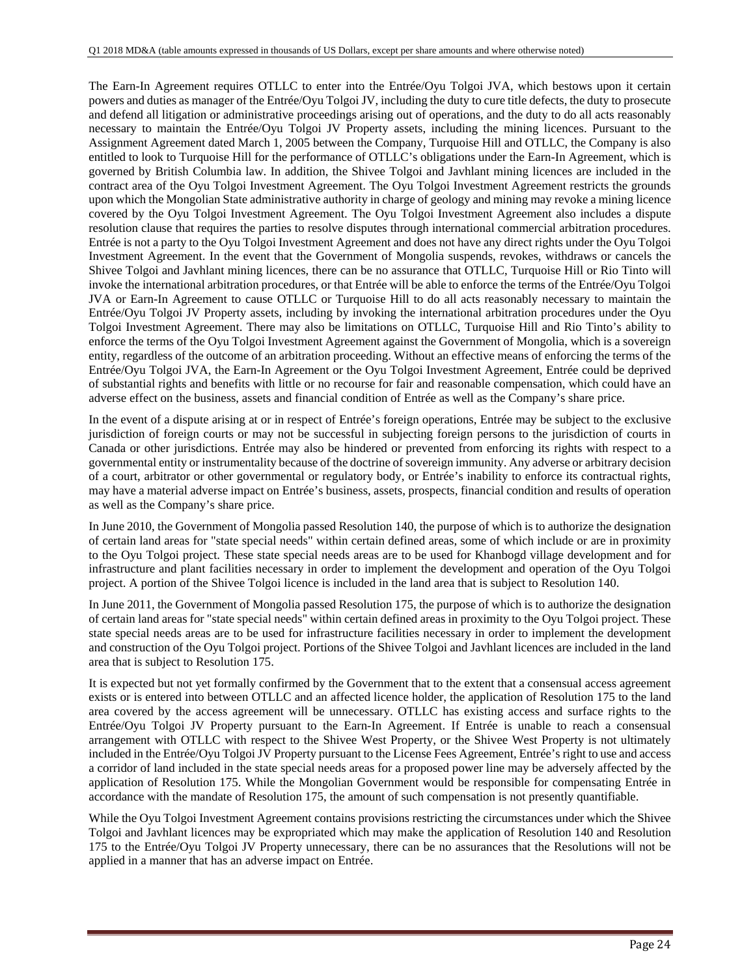The Earn-In Agreement requires OTLLC to enter into the Entrée/Oyu Tolgoi JVA, which bestows upon it certain powers and duties as manager of the Entrée/Oyu Tolgoi JV, including the duty to cure title defects, the duty to prosecute and defend all litigation or administrative proceedings arising out of operations, and the duty to do all acts reasonably necessary to maintain the Entrée/Oyu Tolgoi JV Property assets, including the mining licences. Pursuant to the Assignment Agreement dated March 1, 2005 between the Company, Turquoise Hill and OTLLC, the Company is also entitled to look to Turquoise Hill for the performance of OTLLC's obligations under the Earn-In Agreement, which is governed by British Columbia law. In addition, the Shivee Tolgoi and Javhlant mining licences are included in the contract area of the Oyu Tolgoi Investment Agreement. The Oyu Tolgoi Investment Agreement restricts the grounds upon which the Mongolian State administrative authority in charge of geology and mining may revoke a mining licence covered by the Oyu Tolgoi Investment Agreement. The Oyu Tolgoi Investment Agreement also includes a dispute resolution clause that requires the parties to resolve disputes through international commercial arbitration procedures. Entrée is not a party to the Oyu Tolgoi Investment Agreement and does not have any direct rights under the Oyu Tolgoi Investment Agreement. In the event that the Government of Mongolia suspends, revokes, withdraws or cancels the Shivee Tolgoi and Javhlant mining licences, there can be no assurance that OTLLC, Turquoise Hill or Rio Tinto will invoke the international arbitration procedures, or that Entrée will be able to enforce the terms of the Entrée/Oyu Tolgoi JVA or Earn-In Agreement to cause OTLLC or Turquoise Hill to do all acts reasonably necessary to maintain the Entrée/Oyu Tolgoi JV Property assets, including by invoking the international arbitration procedures under the Oyu Tolgoi Investment Agreement. There may also be limitations on OTLLC, Turquoise Hill and Rio Tinto's ability to enforce the terms of the Oyu Tolgoi Investment Agreement against the Government of Mongolia, which is a sovereign entity, regardless of the outcome of an arbitration proceeding. Without an effective means of enforcing the terms of the Entrée/Oyu Tolgoi JVA, the Earn-In Agreement or the Oyu Tolgoi Investment Agreement, Entrée could be deprived of substantial rights and benefits with little or no recourse for fair and reasonable compensation, which could have an adverse effect on the business, assets and financial condition of Entrée as well as the Company's share price.

In the event of a dispute arising at or in respect of Entrée's foreign operations, Entrée may be subject to the exclusive jurisdiction of foreign courts or may not be successful in subjecting foreign persons to the jurisdiction of courts in Canada or other jurisdictions. Entrée may also be hindered or prevented from enforcing its rights with respect to a governmental entity or instrumentality because of the doctrine of sovereign immunity. Any adverse or arbitrary decision of a court, arbitrator or other governmental or regulatory body, or Entrée's inability to enforce its contractual rights, may have a material adverse impact on Entrée's business, assets, prospects, financial condition and results of operation as well as the Company's share price.

In June 2010, the Government of Mongolia passed Resolution 140, the purpose of which is to authorize the designation of certain land areas for "state special needs" within certain defined areas, some of which include or are in proximity to the Oyu Tolgoi project. These state special needs areas are to be used for Khanbogd village development and for infrastructure and plant facilities necessary in order to implement the development and operation of the Oyu Tolgoi project. A portion of the Shivee Tolgoi licence is included in the land area that is subject to Resolution 140.

In June 2011, the Government of Mongolia passed Resolution 175, the purpose of which is to authorize the designation of certain land areas for "state special needs" within certain defined areas in proximity to the Oyu Tolgoi project. These state special needs areas are to be used for infrastructure facilities necessary in order to implement the development and construction of the Oyu Tolgoi project. Portions of the Shivee Tolgoi and Javhlant licences are included in the land area that is subject to Resolution 175.

It is expected but not yet formally confirmed by the Government that to the extent that a consensual access agreement exists or is entered into between OTLLC and an affected licence holder, the application of Resolution 175 to the land area covered by the access agreement will be unnecessary. OTLLC has existing access and surface rights to the Entrée/Oyu Tolgoi JV Property pursuant to the Earn-In Agreement. If Entrée is unable to reach a consensual arrangement with OTLLC with respect to the Shivee West Property, or the Shivee West Property is not ultimately included in the Entrée/Oyu Tolgoi JV Property pursuant to the License Fees Agreement, Entrée's right to use and access a corridor of land included in the state special needs areas for a proposed power line may be adversely affected by the application of Resolution 175. While the Mongolian Government would be responsible for compensating Entrée in accordance with the mandate of Resolution 175, the amount of such compensation is not presently quantifiable.

While the Oyu Tolgoi Investment Agreement contains provisions restricting the circumstances under which the Shivee Tolgoi and Javhlant licences may be expropriated which may make the application of Resolution 140 and Resolution 175 to the Entrée/Oyu Tolgoi JV Property unnecessary, there can be no assurances that the Resolutions will not be applied in a manner that has an adverse impact on Entrée.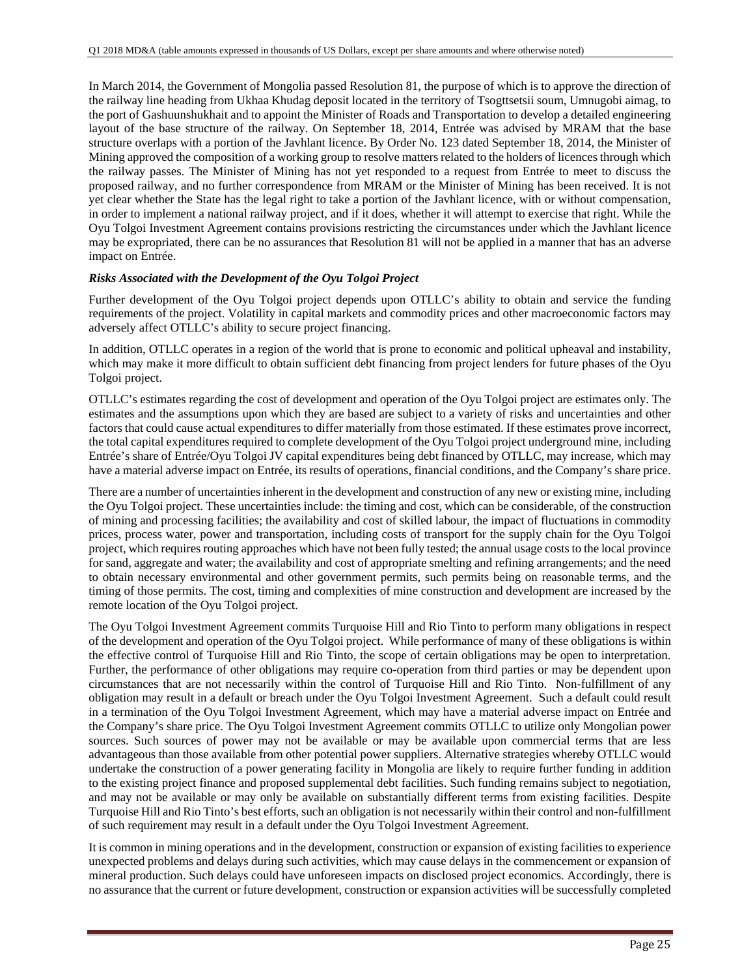In March 2014, the Government of Mongolia passed Resolution 81, the purpose of which is to approve the direction of the railway line heading from Ukhaa Khudag deposit located in the territory of Tsogttsetsii soum, Umnugobi aimag, to the port of Gashuunshukhait and to appoint the Minister of Roads and Transportation to develop a detailed engineering layout of the base structure of the railway. On September 18, 2014, Entrée was advised by MRAM that the base structure overlaps with a portion of the Javhlant licence. By Order No. 123 dated September 18, 2014, the Minister of Mining approved the composition of a working group to resolve matters related to the holders of licences through which the railway passes. The Minister of Mining has not yet responded to a request from Entrée to meet to discuss the proposed railway, and no further correspondence from MRAM or the Minister of Mining has been received. It is not yet clear whether the State has the legal right to take a portion of the Javhlant licence, with or without compensation, in order to implement a national railway project, and if it does, whether it will attempt to exercise that right. While the Oyu Tolgoi Investment Agreement contains provisions restricting the circumstances under which the Javhlant licence may be expropriated, there can be no assurances that Resolution 81 will not be applied in a manner that has an adverse impact on Entrée.

## *Risks Associated with the Development of the Oyu Tolgoi Project*

Further development of the Oyu Tolgoi project depends upon OTLLC's ability to obtain and service the funding requirements of the project. Volatility in capital markets and commodity prices and other macroeconomic factors may adversely affect OTLLC's ability to secure project financing.

In addition, OTLLC operates in a region of the world that is prone to economic and political upheaval and instability, which may make it more difficult to obtain sufficient debt financing from project lenders for future phases of the Oyu Tolgoi project.

OTLLC's estimates regarding the cost of development and operation of the Oyu Tolgoi project are estimates only. The estimates and the assumptions upon which they are based are subject to a variety of risks and uncertainties and other factors that could cause actual expenditures to differ materially from those estimated. If these estimates prove incorrect, the total capital expenditures required to complete development of the Oyu Tolgoi project underground mine, including Entrée's share of Entrée/Oyu Tolgoi JV capital expenditures being debt financed by OTLLC, may increase, which may have a material adverse impact on Entrée, its results of operations, financial conditions, and the Company's share price.

There are a number of uncertainties inherent in the development and construction of any new or existing mine, including the Oyu Tolgoi project. These uncertainties include: the timing and cost, which can be considerable, of the construction of mining and processing facilities; the availability and cost of skilled labour, the impact of fluctuations in commodity prices, process water, power and transportation, including costs of transport for the supply chain for the Oyu Tolgoi project, which requires routing approaches which have not been fully tested; the annual usage costs to the local province for sand, aggregate and water; the availability and cost of appropriate smelting and refining arrangements; and the need to obtain necessary environmental and other government permits, such permits being on reasonable terms, and the timing of those permits. The cost, timing and complexities of mine construction and development are increased by the remote location of the Oyu Tolgoi project.

The Oyu Tolgoi Investment Agreement commits Turquoise Hill and Rio Tinto to perform many obligations in respect of the development and operation of the Oyu Tolgoi project. While performance of many of these obligations is within the effective control of Turquoise Hill and Rio Tinto, the scope of certain obligations may be open to interpretation. Further, the performance of other obligations may require co-operation from third parties or may be dependent upon circumstances that are not necessarily within the control of Turquoise Hill and Rio Tinto. Non-fulfillment of any obligation may result in a default or breach under the Oyu Tolgoi Investment Agreement. Such a default could result in a termination of the Oyu Tolgoi Investment Agreement, which may have a material adverse impact on Entrée and the Company's share price. The Oyu Tolgoi Investment Agreement commits OTLLC to utilize only Mongolian power sources. Such sources of power may not be available or may be available upon commercial terms that are less advantageous than those available from other potential power suppliers. Alternative strategies whereby OTLLC would undertake the construction of a power generating facility in Mongolia are likely to require further funding in addition to the existing project finance and proposed supplemental debt facilities. Such funding remains subject to negotiation, and may not be available or may only be available on substantially different terms from existing facilities. Despite Turquoise Hill and Rio Tinto's best efforts, such an obligation is not necessarily within their control and non-fulfillment of such requirement may result in a default under the Oyu Tolgoi Investment Agreement.

It is common in mining operations and in the development, construction or expansion of existing facilities to experience unexpected problems and delays during such activities, which may cause delays in the commencement or expansion of mineral production. Such delays could have unforeseen impacts on disclosed project economics. Accordingly, there is no assurance that the current or future development, construction or expansion activities will be successfully completed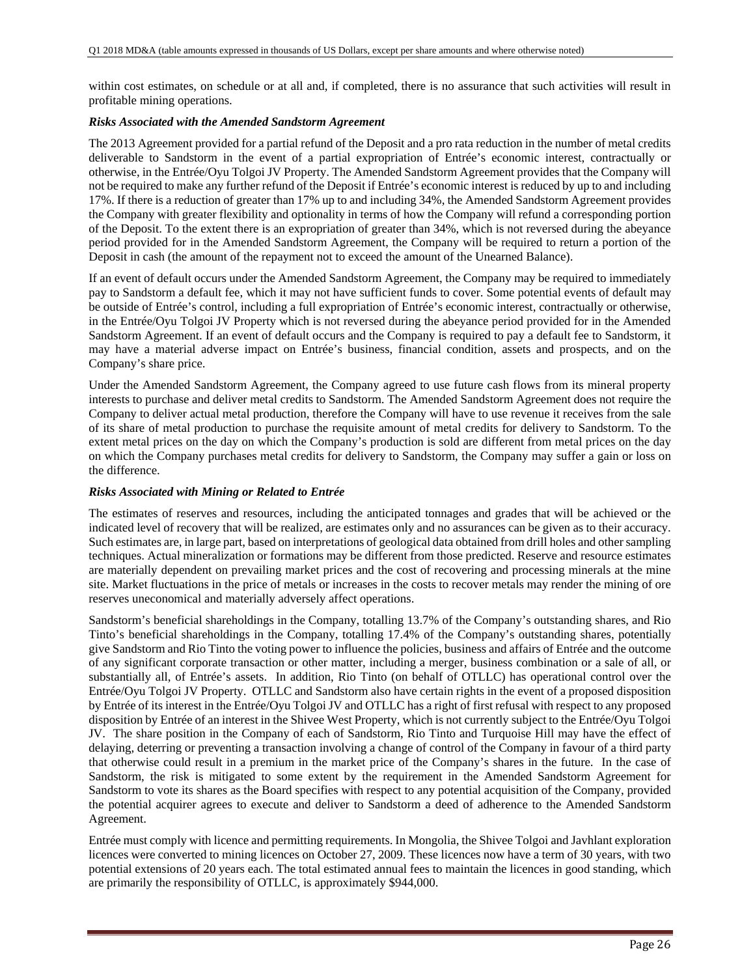within cost estimates, on schedule or at all and, if completed, there is no assurance that such activities will result in profitable mining operations.

#### *Risks Associated with the Amended Sandstorm Agreement*

The 2013 Agreement provided for a partial refund of the Deposit and a pro rata reduction in the number of metal credits deliverable to Sandstorm in the event of a partial expropriation of Entrée's economic interest, contractually or otherwise, in the Entrée/Oyu Tolgoi JV Property. The Amended Sandstorm Agreement provides that the Company will not be required to make any further refund of the Deposit if Entrée's economic interest is reduced by up to and including 17%. If there is a reduction of greater than 17% up to and including 34%, the Amended Sandstorm Agreement provides the Company with greater flexibility and optionality in terms of how the Company will refund a corresponding portion of the Deposit. To the extent there is an expropriation of greater than 34%, which is not reversed during the abeyance period provided for in the Amended Sandstorm Agreement, the Company will be required to return a portion of the Deposit in cash (the amount of the repayment not to exceed the amount of the Unearned Balance).

If an event of default occurs under the Amended Sandstorm Agreement, the Company may be required to immediately pay to Sandstorm a default fee, which it may not have sufficient funds to cover. Some potential events of default may be outside of Entrée's control, including a full expropriation of Entrée's economic interest, contractually or otherwise, in the Entrée/Oyu Tolgoi JV Property which is not reversed during the abeyance period provided for in the Amended Sandstorm Agreement. If an event of default occurs and the Company is required to pay a default fee to Sandstorm, it may have a material adverse impact on Entrée's business, financial condition, assets and prospects, and on the Company's share price.

Under the Amended Sandstorm Agreement, the Company agreed to use future cash flows from its mineral property interests to purchase and deliver metal credits to Sandstorm. The Amended Sandstorm Agreement does not require the Company to deliver actual metal production, therefore the Company will have to use revenue it receives from the sale of its share of metal production to purchase the requisite amount of metal credits for delivery to Sandstorm. To the extent metal prices on the day on which the Company's production is sold are different from metal prices on the day on which the Company purchases metal credits for delivery to Sandstorm, the Company may suffer a gain or loss on the difference.

## *Risks Associated with Mining or Related to Entrée*

The estimates of reserves and resources, including the anticipated tonnages and grades that will be achieved or the indicated level of recovery that will be realized, are estimates only and no assurances can be given as to their accuracy. Such estimates are, in large part, based on interpretations of geological data obtained from drill holes and other sampling techniques. Actual mineralization or formations may be different from those predicted. Reserve and resource estimates are materially dependent on prevailing market prices and the cost of recovering and processing minerals at the mine site. Market fluctuations in the price of metals or increases in the costs to recover metals may render the mining of ore reserves uneconomical and materially adversely affect operations.

Sandstorm's beneficial shareholdings in the Company, totalling 13.7% of the Company's outstanding shares, and Rio Tinto's beneficial shareholdings in the Company, totalling 17.4% of the Company's outstanding shares, potentially give Sandstorm and Rio Tinto the voting power to influence the policies, business and affairs of Entrée and the outcome of any significant corporate transaction or other matter, including a merger, business combination or a sale of all, or substantially all, of Entrée's assets. In addition, Rio Tinto (on behalf of OTLLC) has operational control over the Entrée/Oyu Tolgoi JV Property. OTLLC and Sandstorm also have certain rights in the event of a proposed disposition by Entrée of its interest in the Entrée/Oyu Tolgoi JV and OTLLC has a right of first refusal with respect to any proposed disposition by Entrée of an interest in the Shivee West Property, which is not currently subject to the Entrée/Oyu Tolgoi JV. The share position in the Company of each of Sandstorm, Rio Tinto and Turquoise Hill may have the effect of delaying, deterring or preventing a transaction involving a change of control of the Company in favour of a third party that otherwise could result in a premium in the market price of the Company's shares in the future. In the case of Sandstorm, the risk is mitigated to some extent by the requirement in the Amended Sandstorm Agreement for Sandstorm to vote its shares as the Board specifies with respect to any potential acquisition of the Company, provided the potential acquirer agrees to execute and deliver to Sandstorm a deed of adherence to the Amended Sandstorm Agreement.

Entrée must comply with licence and permitting requirements. In Mongolia, the Shivee Tolgoi and Javhlant exploration licences were converted to mining licences on October 27, 2009. These licences now have a term of 30 years, with two potential extensions of 20 years each. The total estimated annual fees to maintain the licences in good standing, which are primarily the responsibility of OTLLC, is approximately \$944,000.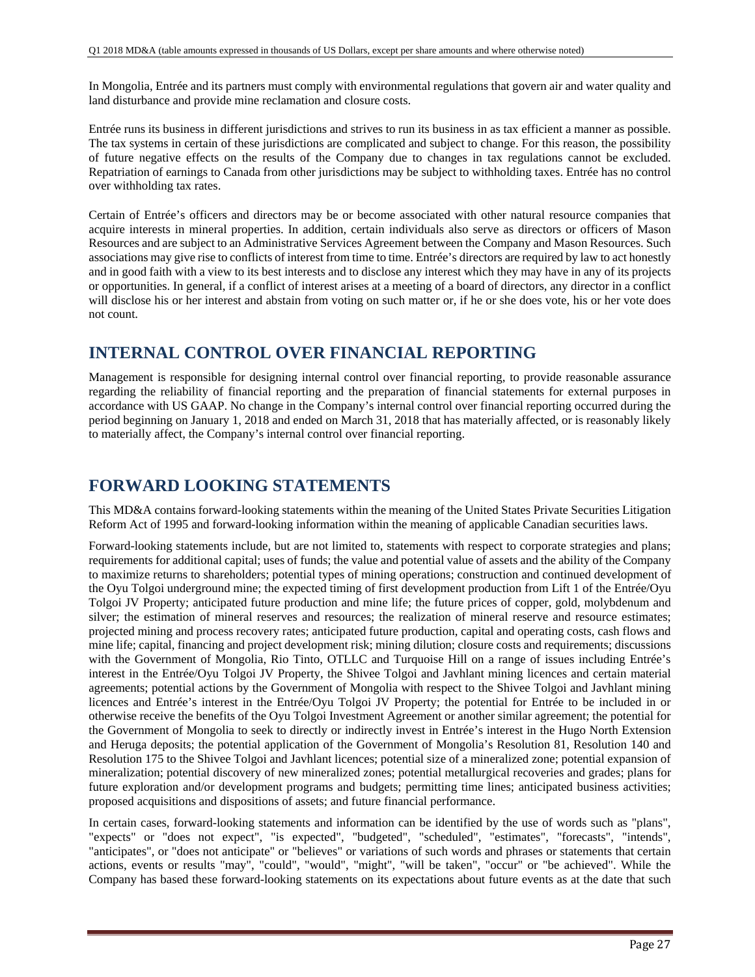In Mongolia, Entrée and its partners must comply with environmental regulations that govern air and water quality and land disturbance and provide mine reclamation and closure costs.

Entrée runs its business in different jurisdictions and strives to run its business in as tax efficient a manner as possible. The tax systems in certain of these jurisdictions are complicated and subject to change. For this reason, the possibility of future negative effects on the results of the Company due to changes in tax regulations cannot be excluded. Repatriation of earnings to Canada from other jurisdictions may be subject to withholding taxes. Entrée has no control over withholding tax rates.

Certain of Entrée's officers and directors may be or become associated with other natural resource companies that acquire interests in mineral properties. In addition, certain individuals also serve as directors or officers of Mason Resources and are subject to an Administrative Services Agreement between the Company and Mason Resources. Such associations may give rise to conflicts of interest from time to time. Entrée's directors are required by law to act honestly and in good faith with a view to its best interests and to disclose any interest which they may have in any of its projects or opportunities. In general, if a conflict of interest arises at a meeting of a board of directors, any director in a conflict will disclose his or her interest and abstain from voting on such matter or, if he or she does vote, his or her vote does not count.

# **INTERNAL CONTROL OVER FINANCIAL REPORTING**

Management is responsible for designing internal control over financial reporting, to provide reasonable assurance regarding the reliability of financial reporting and the preparation of financial statements for external purposes in accordance with US GAAP. No change in the Company's internal control over financial reporting occurred during the period beginning on January 1, 2018 and ended on March 31, 2018 that has materially affected, or is reasonably likely to materially affect, the Company's internal control over financial reporting.

# **FORWARD LOOKING STATEMENTS**

This MD&A contains forward-looking statements within the meaning of the United States Private Securities Litigation Reform Act of 1995 and forward-looking information within the meaning of applicable Canadian securities laws.

Forward-looking statements include, but are not limited to, statements with respect to corporate strategies and plans; requirements for additional capital; uses of funds; the value and potential value of assets and the ability of the Company to maximize returns to shareholders; potential types of mining operations; construction and continued development of the Oyu Tolgoi underground mine; the expected timing of first development production from Lift 1 of the Entrée/Oyu Tolgoi JV Property; anticipated future production and mine life; the future prices of copper, gold, molybdenum and silver; the estimation of mineral reserves and resources; the realization of mineral reserve and resource estimates; projected mining and process recovery rates; anticipated future production, capital and operating costs, cash flows and mine life; capital, financing and project development risk; mining dilution; closure costs and requirements; discussions with the Government of Mongolia, Rio Tinto, OTLLC and Turquoise Hill on a range of issues including Entrée's interest in the Entrée/Oyu Tolgoi JV Property, the Shivee Tolgoi and Javhlant mining licences and certain material agreements; potential actions by the Government of Mongolia with respect to the Shivee Tolgoi and Javhlant mining licences and Entrée's interest in the Entrée/Oyu Tolgoi JV Property; the potential for Entrée to be included in or otherwise receive the benefits of the Oyu Tolgoi Investment Agreement or another similar agreement; the potential for the Government of Mongolia to seek to directly or indirectly invest in Entrée's interest in the Hugo North Extension and Heruga deposits; the potential application of the Government of Mongolia's Resolution 81, Resolution 140 and Resolution 175 to the Shivee Tolgoi and Javhlant licences; potential size of a mineralized zone; potential expansion of mineralization; potential discovery of new mineralized zones; potential metallurgical recoveries and grades; plans for future exploration and/or development programs and budgets; permitting time lines; anticipated business activities; proposed acquisitions and dispositions of assets; and future financial performance.

In certain cases, forward-looking statements and information can be identified by the use of words such as "plans", "expects" or "does not expect", "is expected", "budgeted", "scheduled", "estimates", "forecasts", "intends", "anticipates", or "does not anticipate" or "believes" or variations of such words and phrases or statements that certain actions, events or results "may", "could", "would", "might", "will be taken", "occur" or "be achieved". While the Company has based these forward-looking statements on its expectations about future events as at the date that such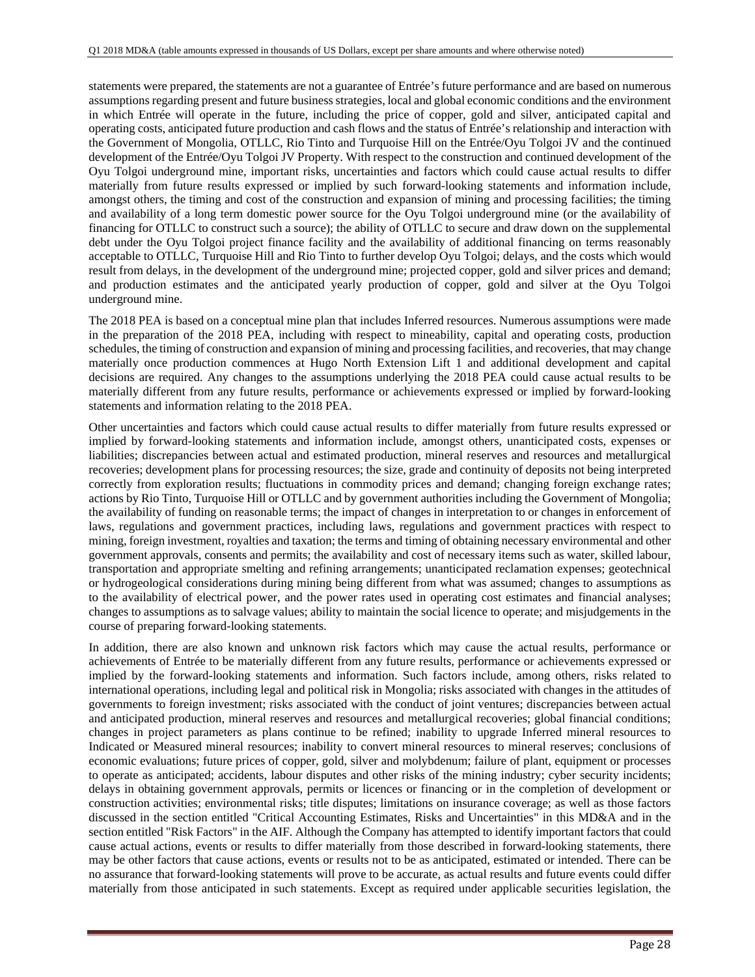statements were prepared, the statements are not a guarantee of Entrée's future performance and are based on numerous assumptions regarding present and future business strategies, local and global economic conditions and the environment in which Entrée will operate in the future, including the price of copper, gold and silver, anticipated capital and operating costs, anticipated future production and cash flows and the status of Entrée's relationship and interaction with the Government of Mongolia, OTLLC, Rio Tinto and Turquoise Hill on the Entrée/Oyu Tolgoi JV and the continued development of the Entrée/Oyu Tolgoi JV Property. With respect to the construction and continued development of the Oyu Tolgoi underground mine, important risks, uncertainties and factors which could cause actual results to differ materially from future results expressed or implied by such forward-looking statements and information include, amongst others, the timing and cost of the construction and expansion of mining and processing facilities; the timing and availability of a long term domestic power source for the Oyu Tolgoi underground mine (or the availability of financing for OTLLC to construct such a source); the ability of OTLLC to secure and draw down on the supplemental debt under the Oyu Tolgoi project finance facility and the availability of additional financing on terms reasonably acceptable to OTLLC, Turquoise Hill and Rio Tinto to further develop Oyu Tolgoi; delays, and the costs which would result from delays, in the development of the underground mine; projected copper, gold and silver prices and demand; and production estimates and the anticipated yearly production of copper, gold and silver at the Oyu Tolgoi underground mine.

The 2018 PEA is based on a conceptual mine plan that includes Inferred resources. Numerous assumptions were made in the preparation of the 2018 PEA, including with respect to mineability, capital and operating costs, production schedules, the timing of construction and expansion of mining and processing facilities, and recoveries, that may change materially once production commences at Hugo North Extension Lift 1 and additional development and capital decisions are required. Any changes to the assumptions underlying the 2018 PEA could cause actual results to be materially different from any future results, performance or achievements expressed or implied by forward-looking statements and information relating to the 2018 PEA.

Other uncertainties and factors which could cause actual results to differ materially from future results expressed or implied by forward-looking statements and information include, amongst others, unanticipated costs, expenses or liabilities; discrepancies between actual and estimated production, mineral reserves and resources and metallurgical recoveries; development plans for processing resources; the size, grade and continuity of deposits not being interpreted correctly from exploration results; fluctuations in commodity prices and demand; changing foreign exchange rates; actions by Rio Tinto, Turquoise Hill or OTLLC and by government authorities including the Government of Mongolia; the availability of funding on reasonable terms; the impact of changes in interpretation to or changes in enforcement of laws, regulations and government practices, including laws, regulations and government practices with respect to mining, foreign investment, royalties and taxation; the terms and timing of obtaining necessary environmental and other government approvals, consents and permits; the availability and cost of necessary items such as water, skilled labour, transportation and appropriate smelting and refining arrangements; unanticipated reclamation expenses; geotechnical or hydrogeological considerations during mining being different from what was assumed; changes to assumptions as to the availability of electrical power, and the power rates used in operating cost estimates and financial analyses; changes to assumptions as to salvage values; ability to maintain the social licence to operate; and misjudgements in the course of preparing forward-looking statements.

In addition, there are also known and unknown risk factors which may cause the actual results, performance or achievements of Entrée to be materially different from any future results, performance or achievements expressed or implied by the forward-looking statements and information. Such factors include, among others, risks related to international operations, including legal and political risk in Mongolia; risks associated with changes in the attitudes of governments to foreign investment; risks associated with the conduct of joint ventures; discrepancies between actual and anticipated production, mineral reserves and resources and metallurgical recoveries; global financial conditions; changes in project parameters as plans continue to be refined; inability to upgrade Inferred mineral resources to Indicated or Measured mineral resources; inability to convert mineral resources to mineral reserves; conclusions of economic evaluations; future prices of copper, gold, silver and molybdenum; failure of plant, equipment or processes to operate as anticipated; accidents, labour disputes and other risks of the mining industry; cyber security incidents; delays in obtaining government approvals, permits or licences or financing or in the completion of development or construction activities; environmental risks; title disputes; limitations on insurance coverage; as well as those factors discussed in the section entitled "Critical Accounting Estimates, Risks and Uncertainties" in this MD&A and in the section entitled "Risk Factors" in the AIF. Although the Company has attempted to identify important factors that could cause actual actions, events or results to differ materially from those described in forward-looking statements, there may be other factors that cause actions, events or results not to be as anticipated, estimated or intended. There can be no assurance that forward-looking statements will prove to be accurate, as actual results and future events could differ materially from those anticipated in such statements. Except as required under applicable securities legislation, the